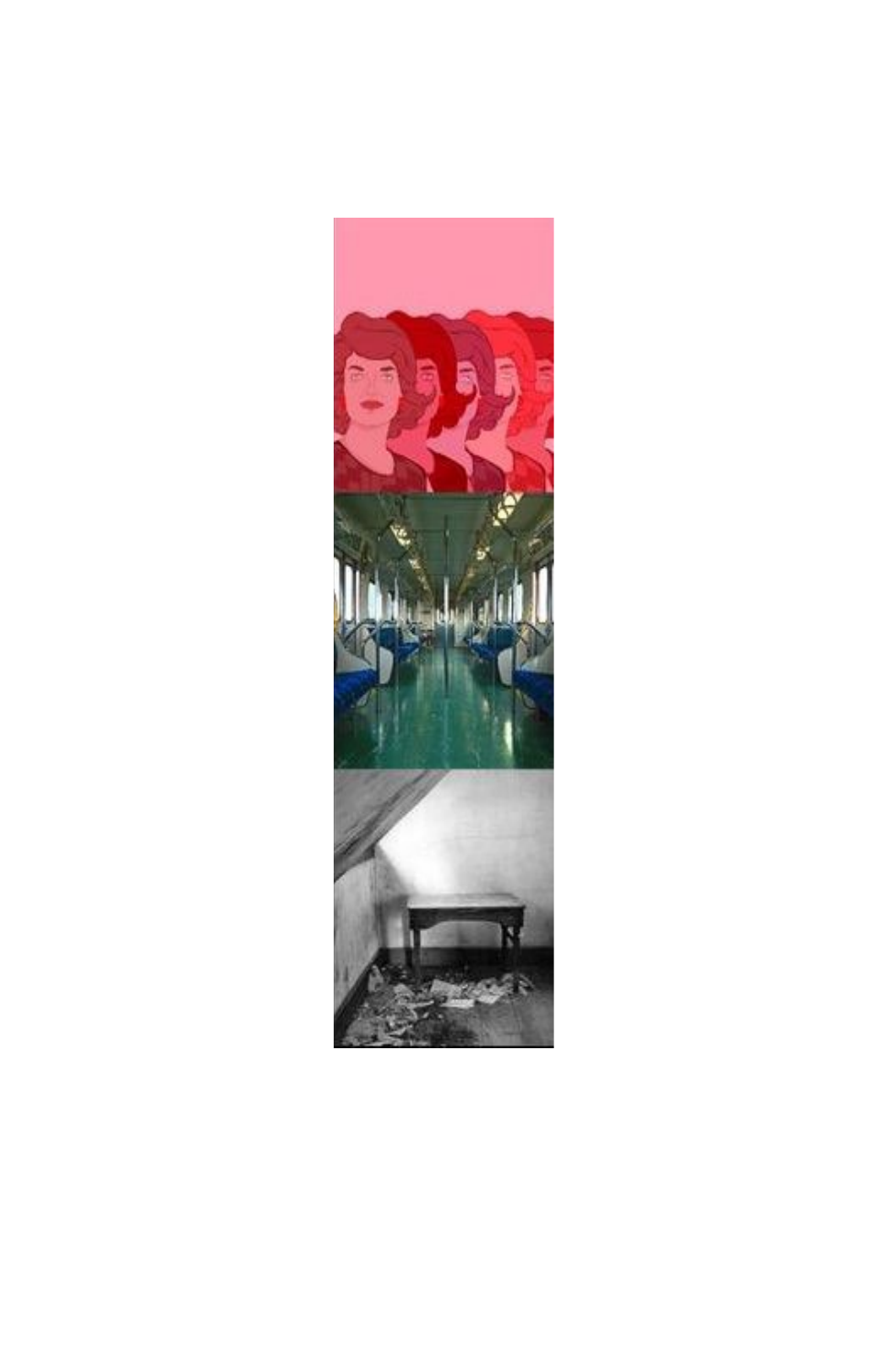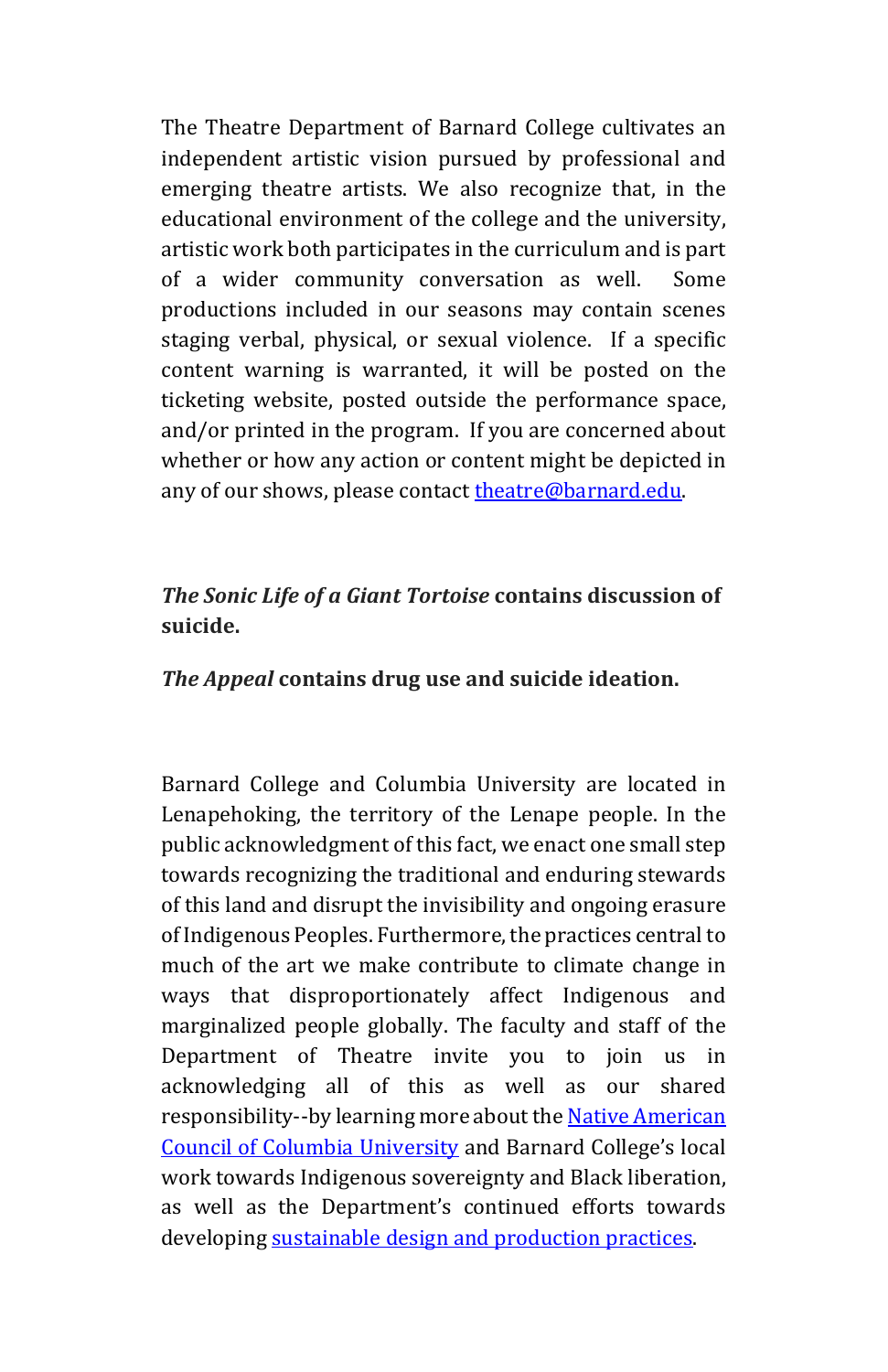The Theatre Department of Barnard College cultivates an independent artistic vision pursued by professional and emerging theatre artists. We also recognize that, in the educational environment of the college and the university, artistic work both participates in the curriculum and is part of a wider community conversation as well. Some productions included in our seasons may contain scenes staging verbal, physical, or sexual violence. If a specific content warning is warranted, it will be posted on the ticketing website, posted outside the performance space, and/or printed in the program. If you are concerned about whether or how any action or content might be depicted in any of our shows, please contact [theatre@barnard.edu.](mailto:theatre@barnard.edu)

#### *The Sonic Life of a Giant Tortoise* **contains discussion of suicide.**

#### *The Appeal* **contains drug use and suicide ideation.**

Barnard College and Columbia University are located in Lenapehoking, the territory of the Lenape people. In the public acknowledgment of this fact, we enact one small step towards recognizing the traditional and enduring stewards of this land and disrupt the invisibility and ongoing erasure of Indigenous Peoples. Furthermore, the practices central to much of the art we make contribute to climate change in ways that disproportionately affect Indigenous and marginalized people globally. The faculty and staff of the Department of Theatre invite you to join us in acknowledging all of this as well as our shared responsibility--by learning more about th[e Native American](http://www.columbia.edu/cu/nac/)  [Council of Columbia University](http://www.columbia.edu/cu/nac/) and Barnard College's local work towards Indigenous sovereignty and Black liberation, as well as the Department's continued efforts towards developin[g sustainable design and production practices.](https://theatre.barnard.edu/sustainable-design-practices)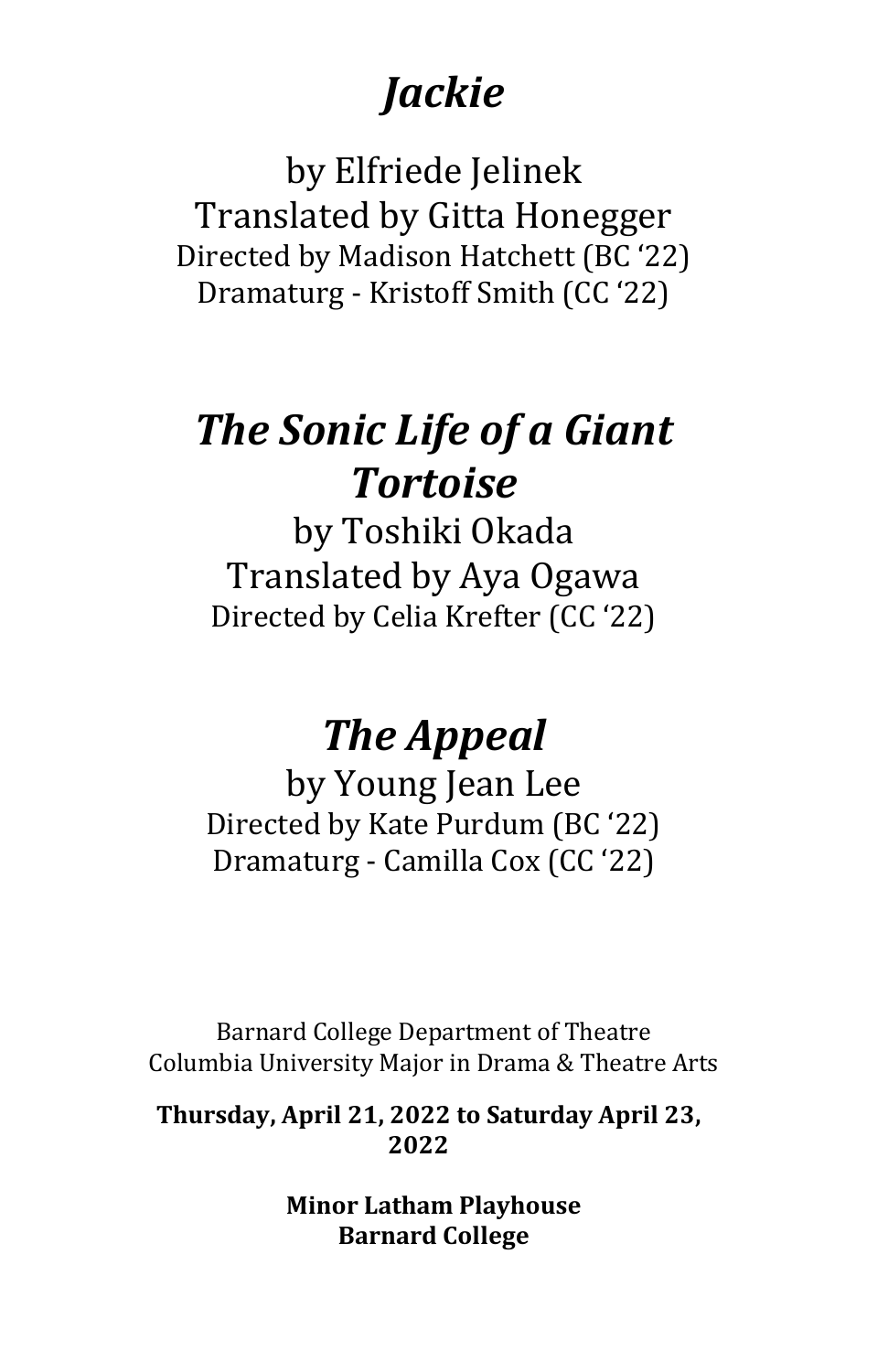# *Jackie*

by Elfriede Jelinek Translated by Gitta Honegger Directed by Madison Hatchett (BC '22) Dramaturg - Kristoff Smith (CC '22)

# *The Sonic Life of a Giant Tortoise*

by Toshiki Okada Translated by Aya Ogawa Directed by Celia Krefter (CC '22)

# *The Appeal*

by Young Jean Lee Directed by Kate Purdum (BC '22) Dramaturg - Camilla Cox (CC '22)

Barnard College Department of Theatre Columbia University Major in Drama & Theatre Arts

**Thursday, April 21, 2022 to Saturday April 23, 2022**

> **Minor Latham Playhouse Barnard College**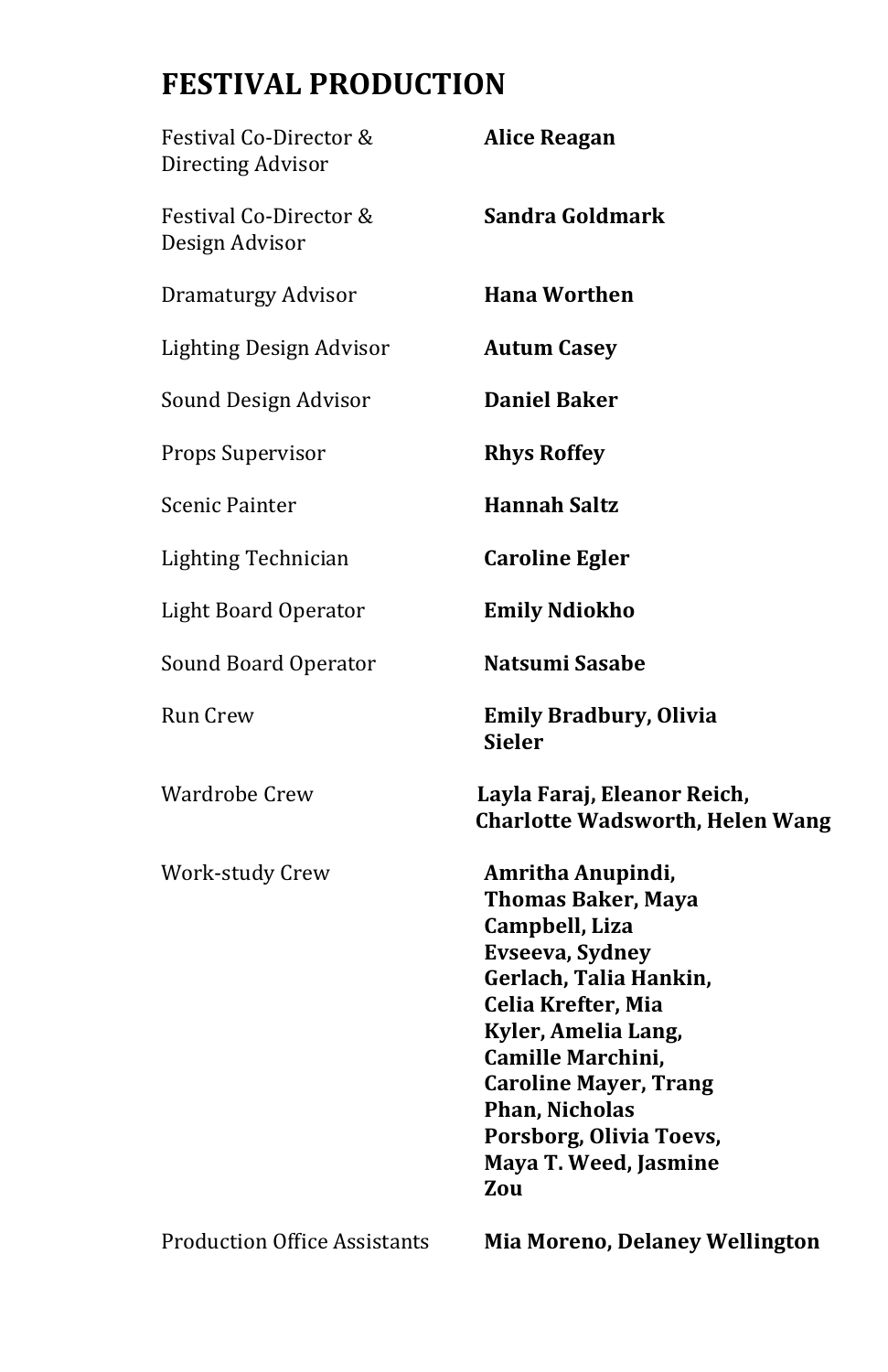# **FESTIVAL PRODUCTION**

| Festival Co-Director &<br>Directing Advisor | <b>Alice Reagan</b>                                                                                                                                                                                                                                                                          |
|---------------------------------------------|----------------------------------------------------------------------------------------------------------------------------------------------------------------------------------------------------------------------------------------------------------------------------------------------|
| Festival Co-Director &<br>Design Advisor    | Sandra Goldmark                                                                                                                                                                                                                                                                              |
| Dramaturgy Advisor                          | <b>Hana Worthen</b>                                                                                                                                                                                                                                                                          |
| Lighting Design Advisor                     | <b>Autum Casey</b>                                                                                                                                                                                                                                                                           |
| Sound Design Advisor                        | <b>Daniel Baker</b>                                                                                                                                                                                                                                                                          |
| Props Supervisor                            | <b>Rhys Roffey</b>                                                                                                                                                                                                                                                                           |
| Scenic Painter                              | <b>Hannah Saltz</b>                                                                                                                                                                                                                                                                          |
| Lighting Technician                         | <b>Caroline Egler</b>                                                                                                                                                                                                                                                                        |
| <b>Light Board Operator</b>                 | <b>Emily Ndiokho</b>                                                                                                                                                                                                                                                                         |
| Sound Board Operator                        | Natsumi Sasabe                                                                                                                                                                                                                                                                               |
| Run Crew                                    | <b>Emily Bradbury, Olivia</b><br><b>Sieler</b>                                                                                                                                                                                                                                               |
| Wardrobe Crew                               | Layla Faraj, Eleanor Reich,<br><b>Charlotte Wadsworth, Helen Wang</b>                                                                                                                                                                                                                        |
| Work-study Crew                             | Amritha Anupindi,<br><b>Thomas Baker, Maya</b><br>Campbell, Liza<br>Evseeva, Sydney<br>Gerlach, Talia Hankin,<br>Celia Krefter, Mia<br>Kyler, Amelia Lang,<br>Camille Marchini,<br><b>Caroline Mayer, Trang</b><br>Phan, Nicholas<br>Porsborg, Olivia Toevs,<br>Maya T. Weed, Jasmine<br>Zou |
| <b>Production Office Assistants</b>         | Mia Moreno, Delaney Wellington                                                                                                                                                                                                                                                               |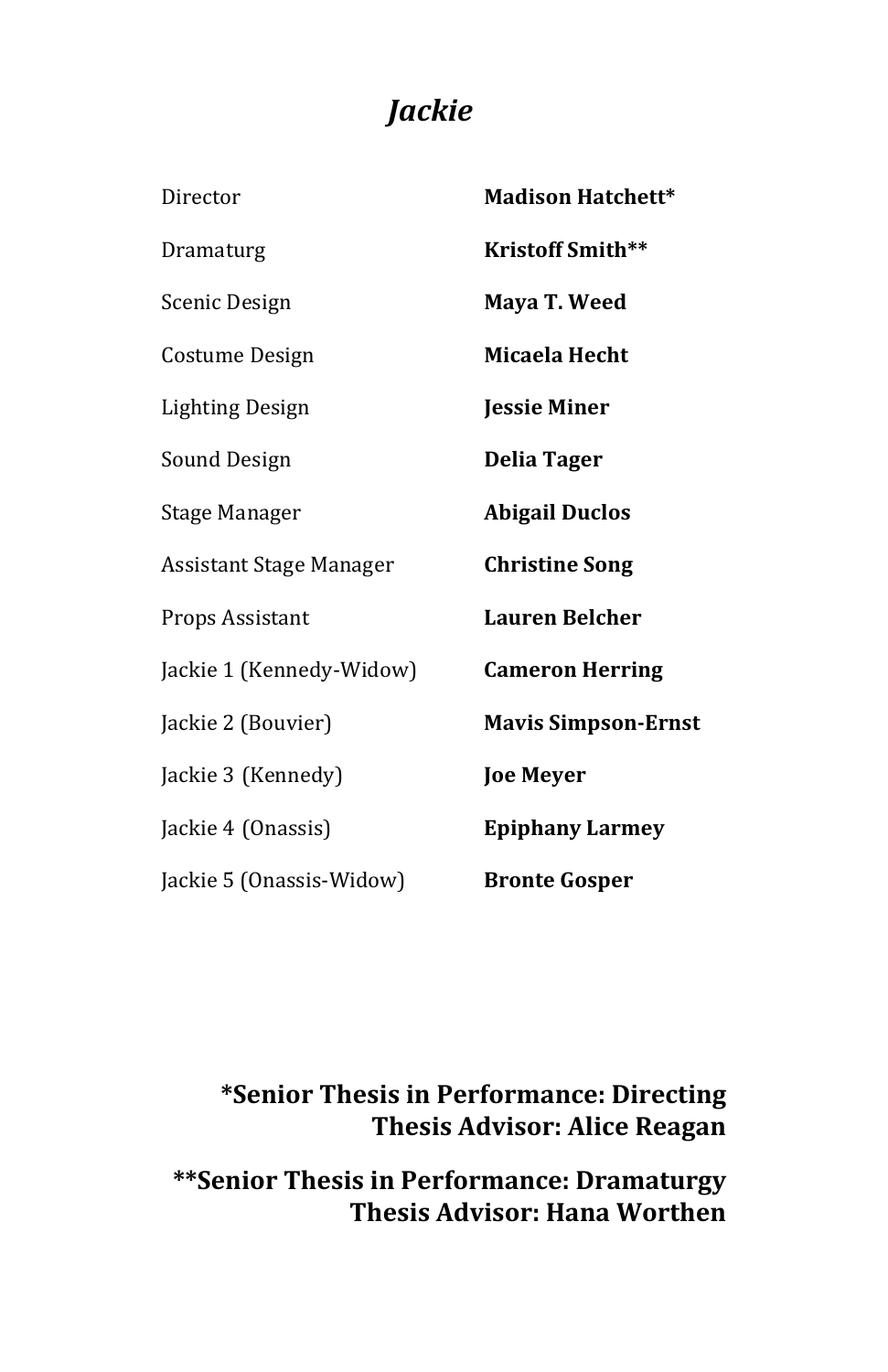## *Jackie*

| Director                 | <b>Madison Hatchett*</b>   |
|--------------------------|----------------------------|
| Dramaturg                | <b>Kristoff Smith**</b>    |
| Scenic Design            | Maya T. Weed               |
| Costume Design           | Micaela Hecht              |
| <b>Lighting Design</b>   | <b>Jessie Miner</b>        |
| Sound Design             | <b>Delia Tager</b>         |
| Stage Manager            | <b>Abigail Duclos</b>      |
| Assistant Stage Manager  | <b>Christine Song</b>      |
| Props Assistant          | <b>Lauren Belcher</b>      |
| Jackie 1 (Kennedy-Widow) | <b>Cameron Herring</b>     |
| Jackie 2 (Bouvier)       | <b>Mavis Simpson-Ernst</b> |
| Jackie 3 (Kennedy)       | <b>Joe Meyer</b>           |
| Jackie 4 (Onassis)       | <b>Epiphany Larmey</b>     |
| Jackie 5 (Onassis-Widow) | <b>Bronte Gosper</b>       |

### **\*Senior Thesis in Performance: Directing Thesis Advisor: Alice Reagan**

**\*\*Senior Thesis in Performance: Dramaturgy Thesis Advisor: Hana Worthen**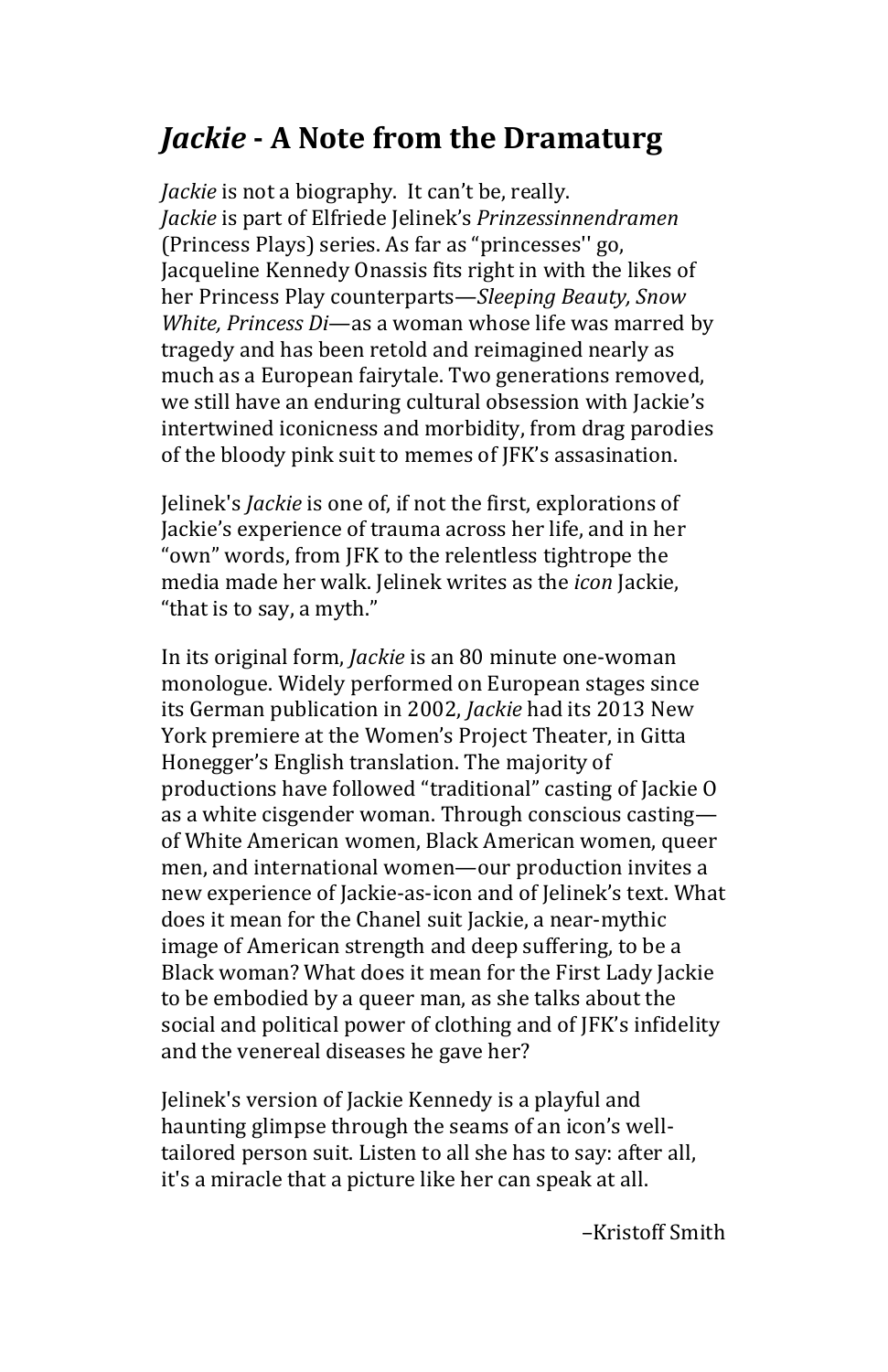## *Jackie* **- A Note from the Dramaturg**

*Jackie* is not a biography. It can't be, really. *Jackie* is part of Elfriede Jelinek's *Prinzessinnendramen* (Princess Plays) series. As far as "princesses'' go, Jacqueline Kennedy Onassis fits right in with the likes of her Princess Play counterparts—*Sleeping Beauty, Snow White, Princess Di*—as a woman whose life was marred by tragedy and has been retold and reimagined nearly as much as a European fairytale. Two generations removed, we still have an enduring cultural obsession with Jackie's intertwined iconicness and morbidity, from drag parodies of the bloody pink suit to memes of JFK's assasination.

Jelinek's *Jackie* is one of, if not the first, explorations of Jackie's experience of trauma across her life, and in her "own" words, from JFK to the relentless tightrope the media made her walk. Jelinek writes as the *icon* Jackie, "that is to say, a myth."

In its original form, *Jackie* is an 80 minute one-woman monologue. Widely performed on European stages since its German publication in 2002, *Jackie* had its 2013 New York premiere at the Women's Project Theater, in Gitta Honegger's English translation. The majority of productions have followed "traditional" casting of Jackie O as a white cisgender woman. Through conscious casting of White American women, Black American women, queer men, and international women—our production invites a new experience of Jackie-as-icon and of Jelinek's text. What does it mean for the Chanel suit Jackie, a near-mythic image of American strength and deep suffering, to be a Black woman? What does it mean for the First Lady Jackie to be embodied by a queer man, as she talks about the social and political power of clothing and of JFK's infidelity and the venereal diseases he gave her?

Jelinek's version of Jackie Kennedy is a playful and haunting glimpse through the seams of an icon's welltailored person suit. Listen to all she has to say: after all, it's a miracle that a picture like her can speak at all.

–Kristoff Smith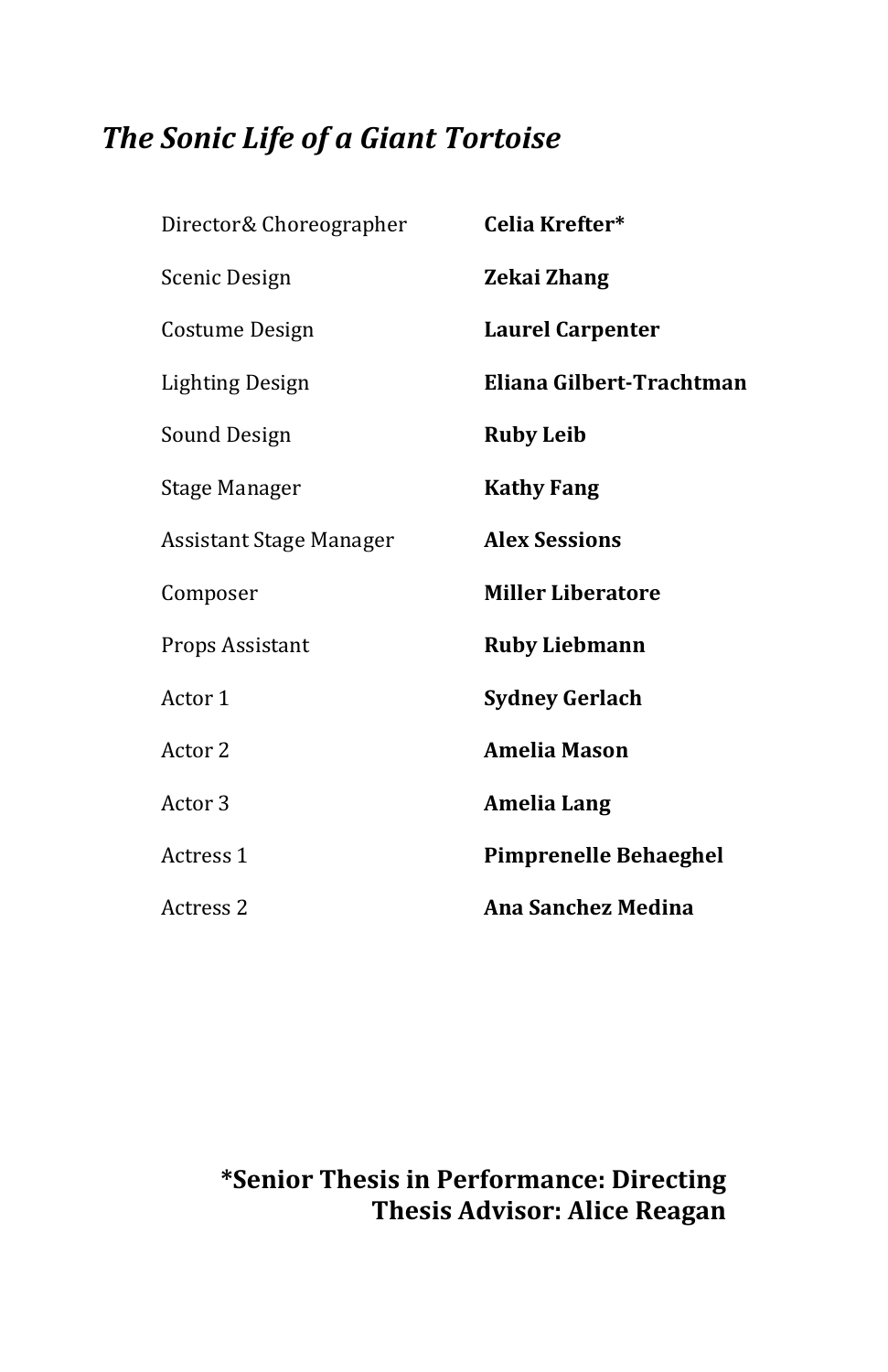# *The Sonic Life of a Giant Tortoise*

| Director& Choreographer        | Celia Krefter*               |
|--------------------------------|------------------------------|
| Scenic Design                  | Zekai Zhang                  |
| Costume Design                 | <b>Laurel Carpenter</b>      |
| <b>Lighting Design</b>         | Eliana Gilbert-Trachtman     |
| Sound Design                   | <b>Ruby Leib</b>             |
| Stage Manager                  | <b>Kathy Fang</b>            |
| <b>Assistant Stage Manager</b> | <b>Alex Sessions</b>         |
| Composer                       | <b>Miller Liberatore</b>     |
| Props Assistant                | <b>Ruby Liebmann</b>         |
| Actor 1                        | <b>Sydney Gerlach</b>        |
| Actor 2                        | <b>Amelia Mason</b>          |
| Actor 3                        | <b>Amelia Lang</b>           |
| Actress 1                      | <b>Pimprenelle Behaeghel</b> |
| Actress 2                      | Ana Sanchez Medina           |

### **\*Senior Thesis in Performance: Directing Thesis Advisor: Alice Reagan**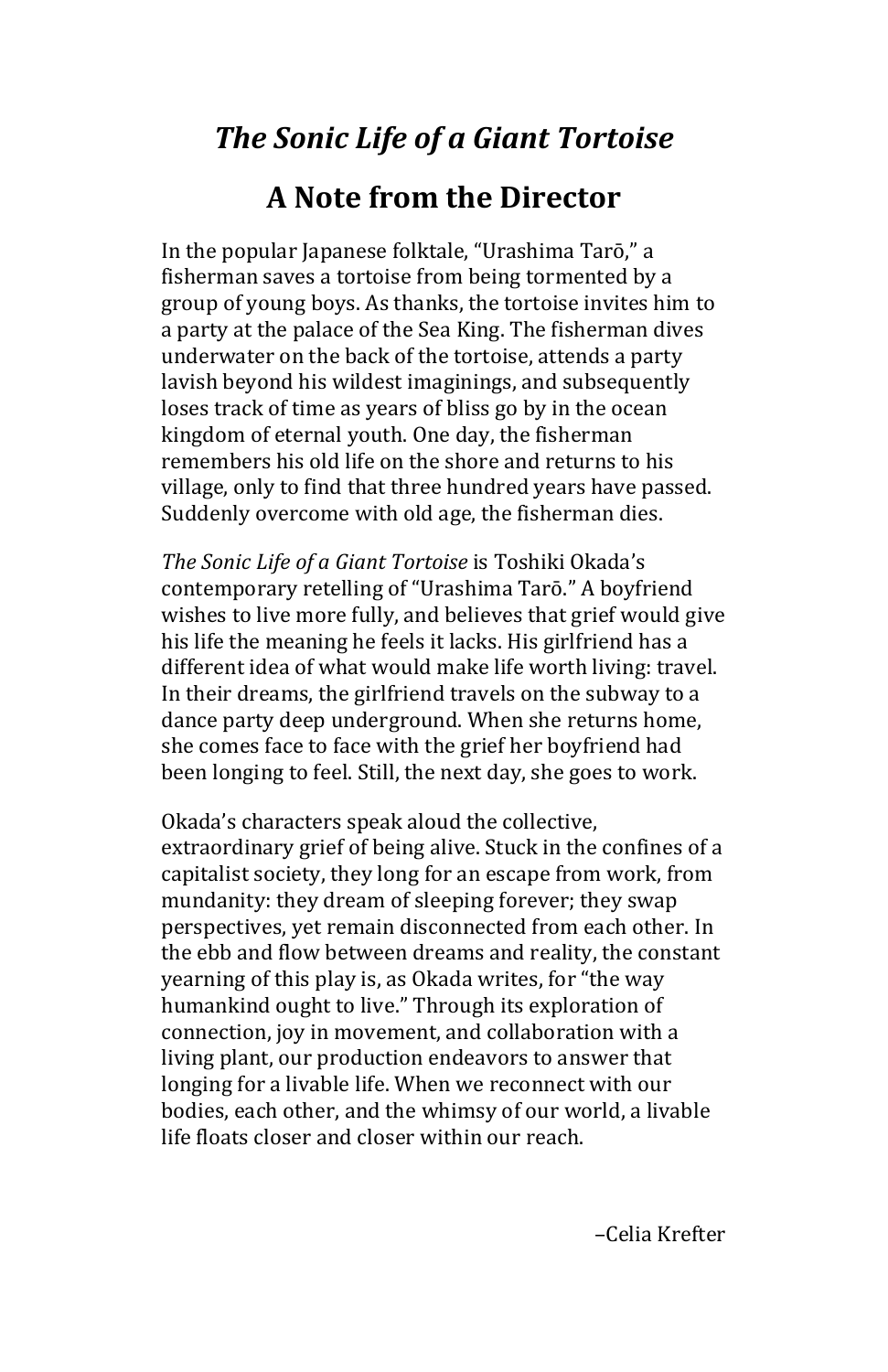## *The Sonic Life of a Giant Tortoise*

### **A Note from the Director**

In the popular Japanese folktale, "Urashima Tarō," a fisherman saves a tortoise from being tormented by a group of young boys. As thanks, the tortoise invites him to a party at the palace of the Sea King. The fisherman dives underwater on the back of the tortoise, attends a party lavish beyond his wildest imaginings, and subsequently loses track of time as years of bliss go by in the ocean kingdom of eternal youth. One day, the fisherman remembers his old life on the shore and returns to his village, only to find that three hundred years have passed. Suddenly overcome with old age, the fisherman dies.

*The Sonic Life of a Giant Tortoise* is Toshiki Okada's contemporary retelling of "Urashima Tarō." A boyfriend wishes to live more fully, and believes that grief would give his life the meaning he feels it lacks. His girlfriend has a different idea of what would make life worth living: travel. In their dreams, the girlfriend travels on the subway to a dance party deep underground. When she returns home, she comes face to face with the grief her boyfriend had been longing to feel. Still, the next day, she goes to work.

Okada's characters speak aloud the collective, extraordinary grief of being alive. Stuck in the confines of a capitalist society, they long for an escape from work, from mundanity: they dream of sleeping forever; they swap perspectives, yet remain disconnected from each other. In the ebb and flow between dreams and reality, the constant yearning of this play is, as Okada writes, for "the way humankind ought to live." Through its exploration of connection, joy in movement, and collaboration with a living plant, our production endeavors to answer that longing for a livable life. When we reconnect with our bodies, each other, and the whimsy of our world, a livable life floats closer and closer within our reach.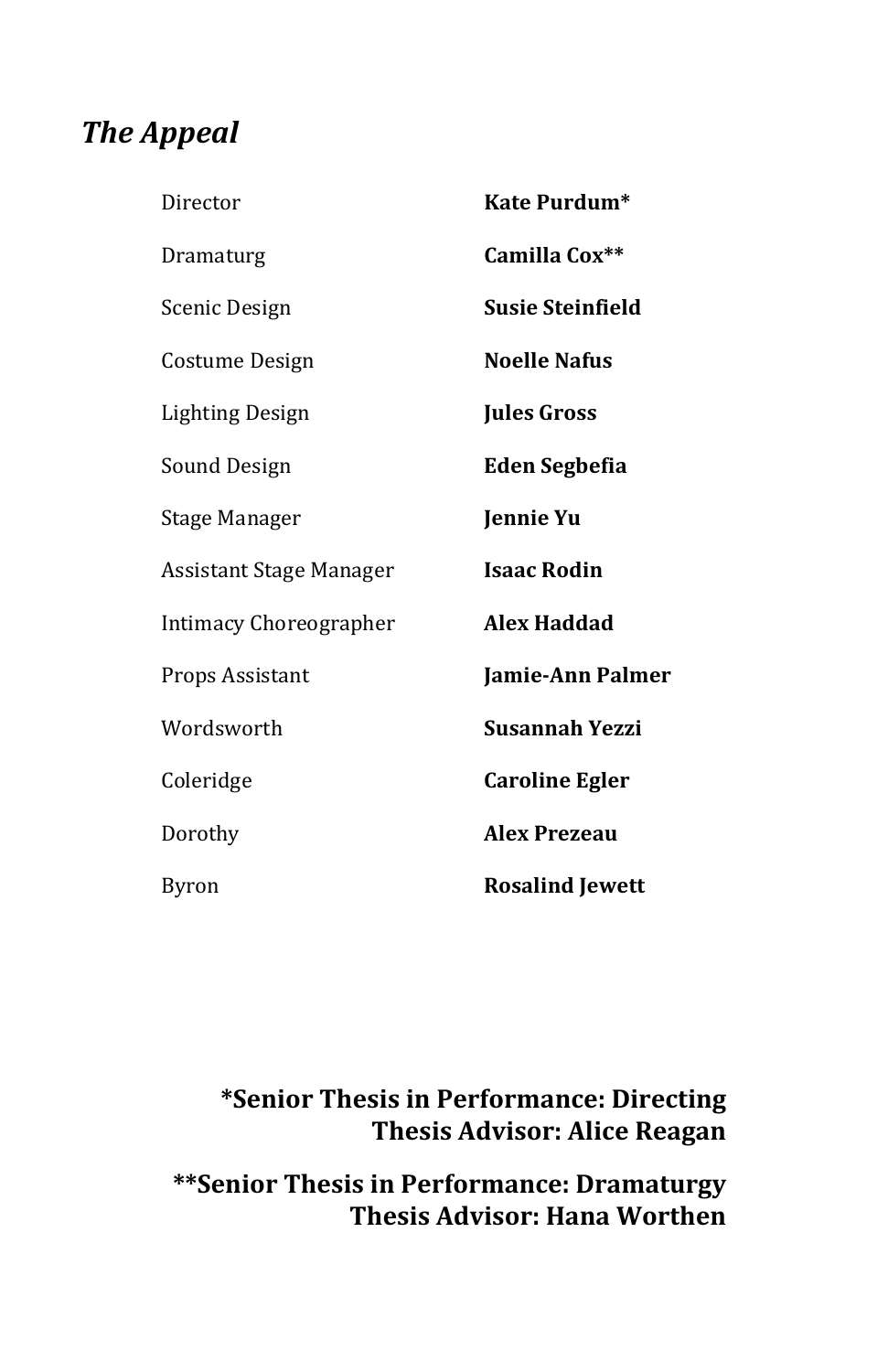### *The Appeal*

| Director                      | Kate Purdum*            |
|-------------------------------|-------------------------|
| Dramaturg                     | Camilla Cox**           |
| Scenic Design                 | <b>Susie Steinfield</b> |
| Costume Design                | <b>Noelle Nafus</b>     |
| <b>Lighting Design</b>        | <b>Jules Gross</b>      |
| Sound Design                  | <b>Eden Segbefia</b>    |
| Stage Manager                 | Jennie Yu               |
| Assistant Stage Manager       | <b>Isaac Rodin</b>      |
| <b>Intimacy Choreographer</b> | <b>Alex Haddad</b>      |
| Props Assistant               | <b>Jamie-Ann Palmer</b> |
| Wordsworth                    | <b>Susannah Yezzi</b>   |
| Coleridge                     | <b>Caroline Egler</b>   |
| Dorothy                       | <b>Alex Prezeau</b>     |
| Byron                         | <b>Rosalind Jewett</b>  |

### **\*Senior Thesis in Performance: Directing Thesis Advisor: Alice Reagan**

**\*\*Senior Thesis in Performance: Dramaturgy Thesis Advisor: Hana Worthen**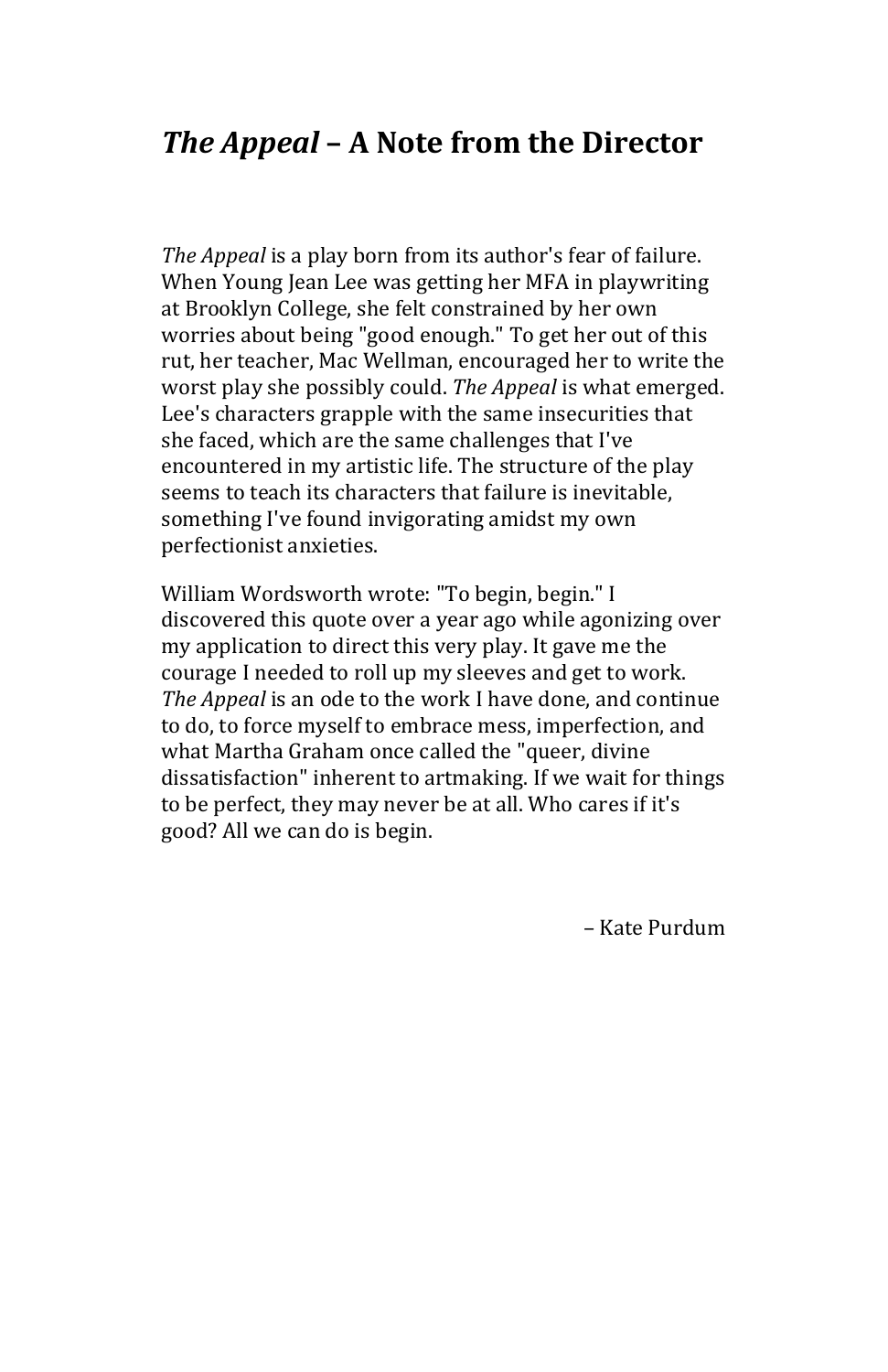### *The Appeal* **– A Note from the Director**

*The Appeal* is a play born from its author's fear of failure. When Young Jean Lee was getting her MFA in playwriting at Brooklyn College, she felt constrained by her own worries about being "good enough." To get her out of this rut, her teacher, Mac Wellman, encouraged her to write the worst play she possibly could. *The Appeal* is what emerged. Lee's characters grapple with the same insecurities that she faced, which are the same challenges that I've encountered in my artistic life. The structure of the play seems to teach its characters that failure is inevitable, something I've found invigorating amidst my own perfectionist anxieties.

William Wordsworth wrote: "To begin, begin." I discovered this quote over a year ago while agonizing over my application to direct this very play. It gave me the courage I needed to roll up my sleeves and get to work. *The Appeal* is an ode to the work I have done, and continue to do, to force myself to embrace mess, imperfection, and what Martha Graham once called the "queer, divine dissatisfaction" inherent to artmaking. If we wait for things to be perfect, they may never be at all. Who cares if it's good? All we can do is begin.

– Kate Purdum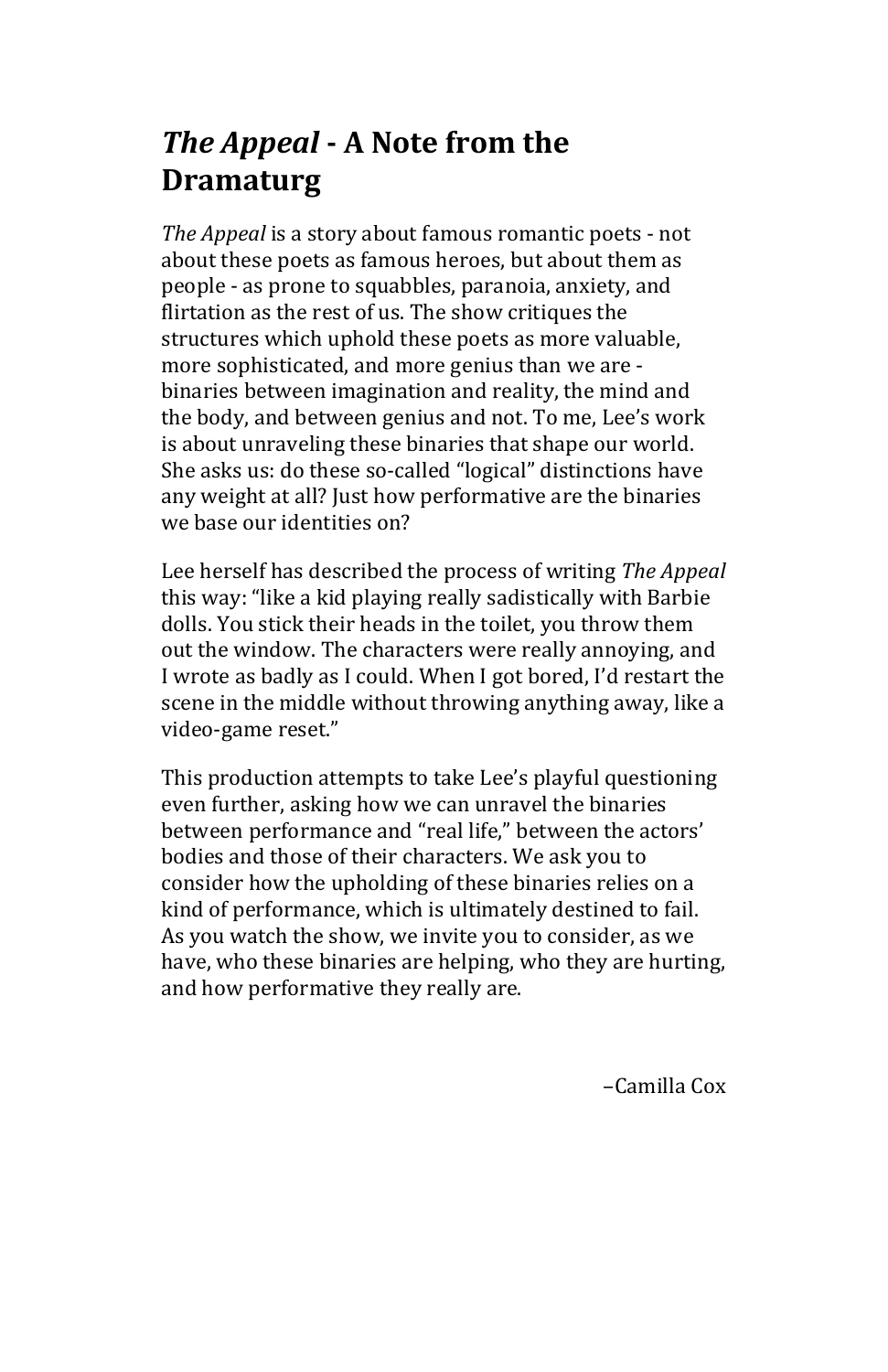# *The Appeal* **- A Note from the Dramaturg**

*The Appeal* is a story about famous romantic poets - not about these poets as famous heroes, but about them as people - as prone to squabbles, paranoia, anxiety, and flirtation as the rest of us. The show critiques the structures which uphold these poets as more valuable, more sophisticated, and more genius than we are binaries between imagination and reality, the mind and the body, and between genius and not. To me, Lee's work is about unraveling these binaries that shape our world. She asks us: do these so-called "logical" distinctions have any weight at all? Just how performative are the binaries we base our identities on?

Lee herself has described the process of writing *The Appeal* this way: "like a kid playing really sadistically with Barbie dolls. You stick their heads in the toilet, you throw them out the window. The characters were really annoying, and I wrote as badly as I could. When I got bored, I'd restart the scene in the middle without throwing anything away, like a video-game reset."

This production attempts to take Lee's playful questioning even further, asking how we can unravel the binaries between performance and "real life," between the actors' bodies and those of their characters. We ask you to consider how the upholding of these binaries relies on a kind of performance, which is ultimately destined to fail. As you watch the show, we invite you to consider, as we have, who these binaries are helping, who they are hurting, and how performative they really are.

–Camilla Cox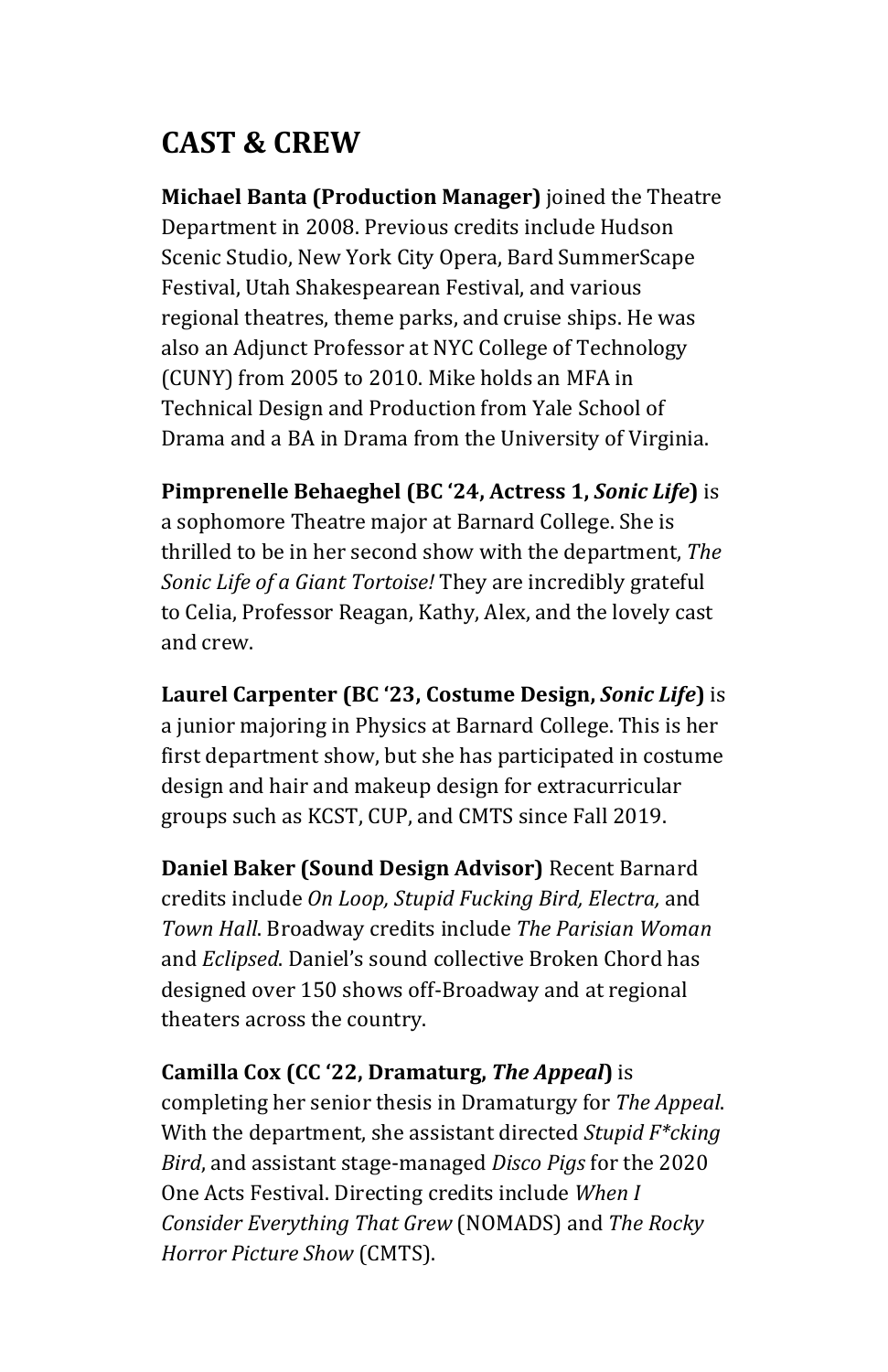# **CAST & CREW**

**Michael Banta (Production Manager)** joined the Theatre Department in 2008. Previous credits include Hudson Scenic Studio, New York City Opera, Bard SummerScape Festival, Utah Shakespearean Festival, and various regional theatres, theme parks, and cruise ships. He was also an Adjunct Professor at NYC College of Technology (CUNY) from 2005 to 2010. Mike holds an MFA in Technical Design and Production from Yale School of Drama and a BA in Drama from the University of Virginia.

**Pimprenelle Behaeghel (BC '24, Actress 1,** *Sonic Life***)** is a sophomore Theatre major at Barnard College. She is thrilled to be in her second show with the department, *The Sonic Life of a Giant Tortoise!* They are incredibly grateful to Celia, Professor Reagan, Kathy, Alex, and the lovely cast and crew.

**Laurel Carpenter (BC '23, Costume Design,** *Sonic Life***)** is a junior majoring in Physics at Barnard College. This is her first department show, but she has participated in costume design and hair and makeup design for extracurricular groups such as KCST, CUP, and CMTS since Fall 2019.

**Daniel Baker (Sound Design Advisor)** Recent Barnard credits include *On Loop, Stupid Fucking Bird, Electra,* and *Town Hall*. Broadway credits include *The Parisian Woman*  and *Eclipsed*. Daniel's sound collective Broken Chord has designed over 150 shows off-Broadway and at regional theaters across the country.

**Camilla Cox (CC '22, Dramaturg,** *The Appeal***)** is completing her senior thesis in Dramaturgy for *The Appeal*. With the department, she assistant directed *Stupid F\*cking Bird*, and assistant stage-managed *Disco Pigs* for the 2020 One Acts Festival. Directing credits include *When I Consider Everything That Grew* (NOMADS) and *The Rocky Horror Picture Show* (CMTS).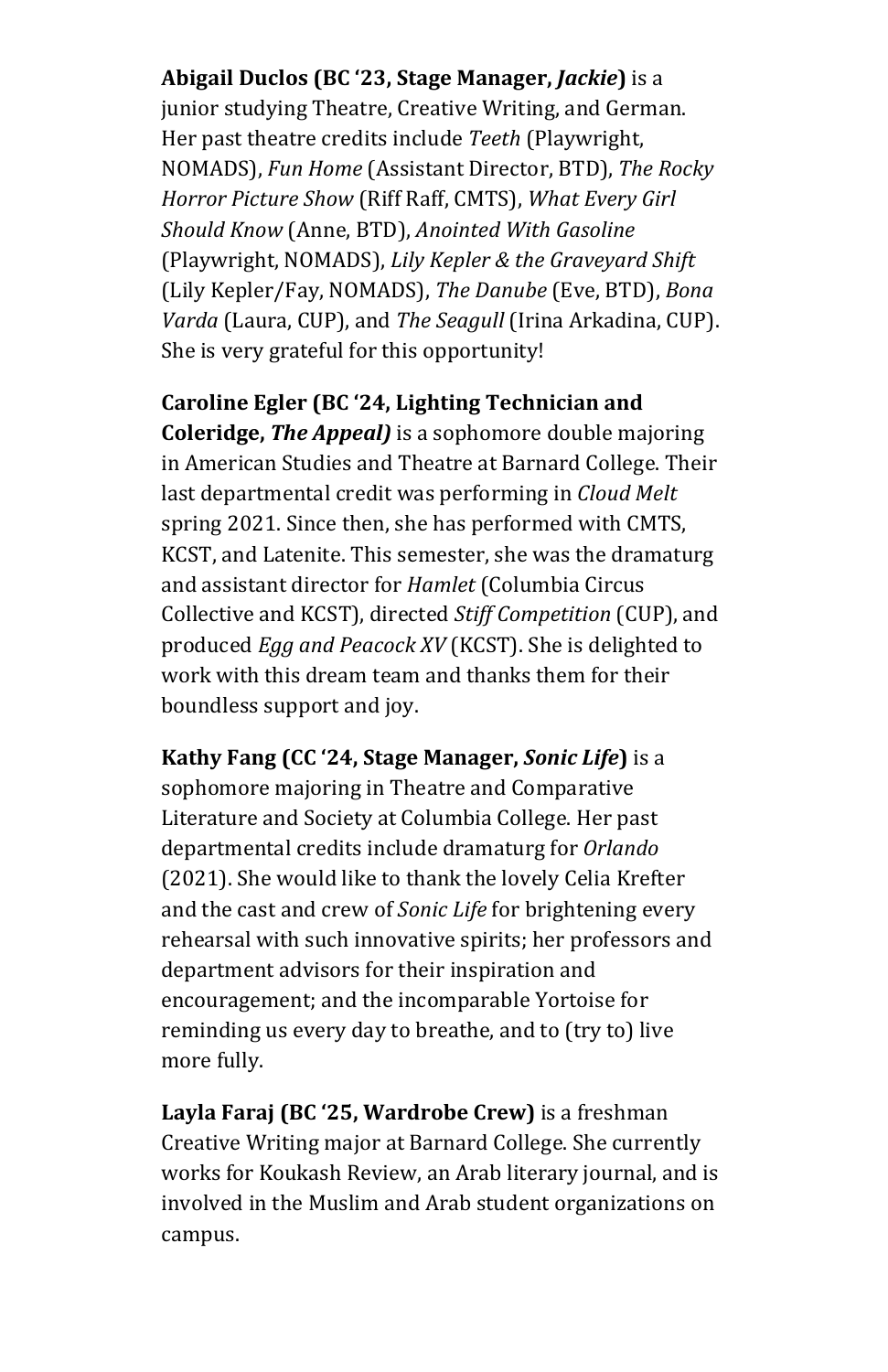#### **Abigail Duclos (BC '23, Stage Manager,** *Jackie***)** is a

junior studying Theatre, Creative Writing, and German. Her past theatre credits include *Teeth* (Playwright, NOMADS), *Fun Home* (Assistant Director, BTD), *The Rocky Horror Picture Show* (Riff Raff, CMTS), *What Every Girl Should Know* (Anne, BTD), *Anointed With Gasoline* (Playwright, NOMADS), *Lily Kepler & the Graveyard Shift* (Lily Kepler/Fay, NOMADS), *The Danube* (Eve, BTD), *Bona Varda* (Laura, CUP), and *The Seagull* (Irina Arkadina, CUP). She is very grateful for this opportunity!

#### **Caroline Egler (BC '24, Lighting Technician and**

**Coleridge,** *The Appeal)* is a sophomore double majoring in American Studies and Theatre at Barnard College. Their last departmental credit was performing in *Cloud Melt* spring 2021. Since then, she has performed with CMTS, KCST, and Latenite. This semester, she was the dramaturg and assistant director for *Hamlet* (Columbia Circus Collective and KCST), directed *Stiff Competition* (CUP), and produced *Egg and Peacock XV* (KCST). She is delighted to work with this dream team and thanks them for their boundless support and joy.

**Kathy Fang (CC '24, Stage Manager,** *Sonic Life***)** is a sophomore majoring in Theatre and Comparative Literature and Society at Columbia College. Her past departmental credits include dramaturg for *Orlando* (2021). She would like to thank the lovely Celia Krefter and the cast and crew of *Sonic Life* for brightening every rehearsal with such innovative spirits; her professors and department advisors for their inspiration and encouragement; and the incomparable Yortoise for reminding us every day to breathe, and to (try to) live more fully.

**Layla Faraj (BC '25, Wardrobe Crew)** is a freshman Creative Writing major at Barnard College. She currently works for Koukash Review, an Arab literary journal, and is involved in the Muslim and Arab student organizations on campus.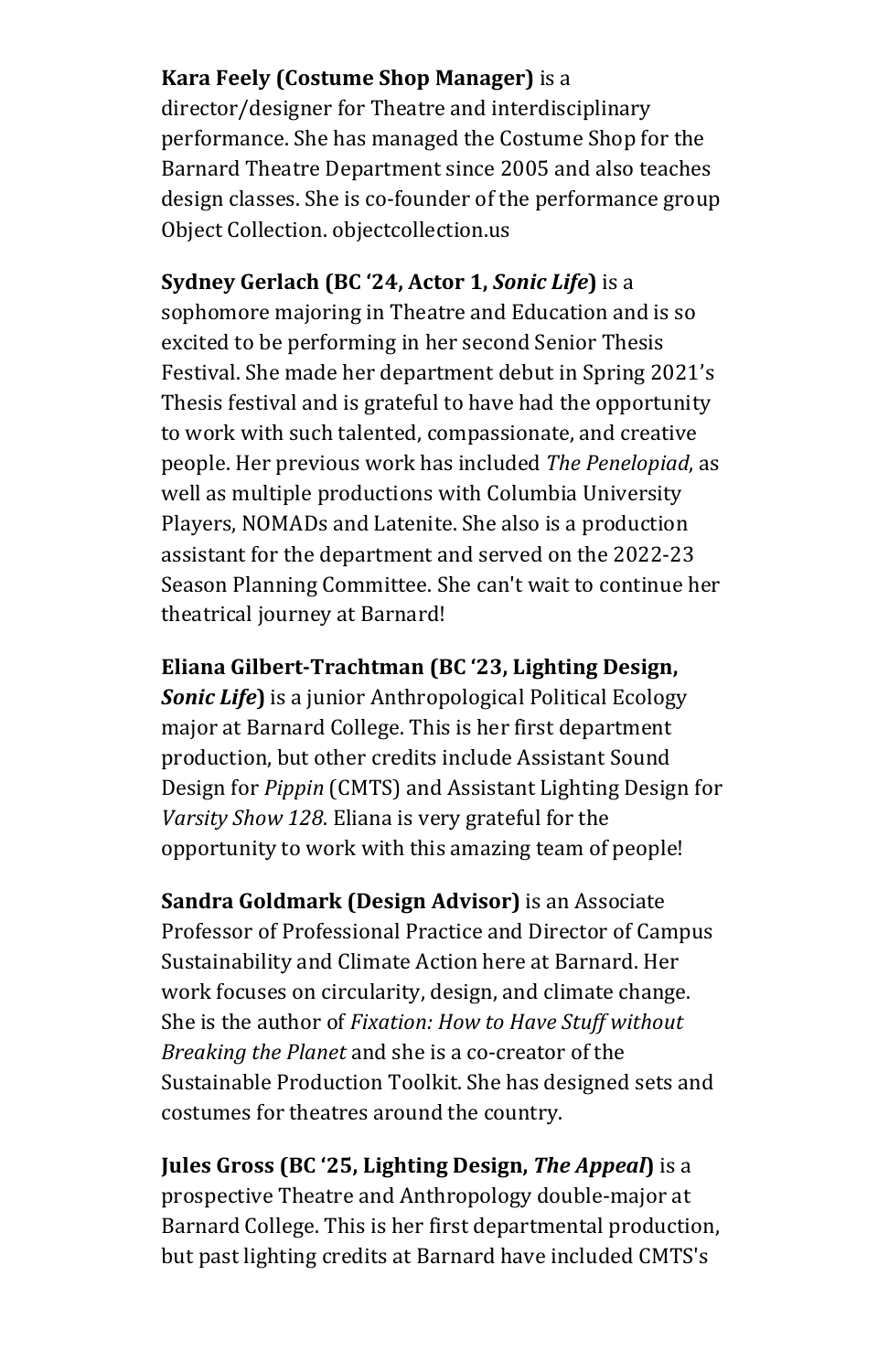#### **Kara Feely (Costume Shop Manager)** is a

director/designer for Theatre and interdisciplinary performance. She has managed the Costume Shop for the Barnard Theatre Department since 2005 and also teaches design classes. She is co-founder of the performance group Object Collection. objectcollection.us

**Sydney Gerlach (BC '24, Actor 1,** *Sonic Life***)** is a sophomore majoring in Theatre and Education and is so excited to be performing in her second Senior Thesis Festival. She made her department debut in Spring 2021's Thesis festival and is grateful to have had the opportunity to work with such talented, compassionate, and creative people. Her previous work has included *The Penelopiad*, as well as multiple productions with Columbia University Players, NOMADs and Latenite. She also is a production assistant for the department and served on the 2022-23 Season Planning Committee. She can't wait to continue her theatrical journey at Barnard!

#### **Eliana Gilbert-Trachtman (BC '23, Lighting Design,**

*Sonic Life***)** is a junior Anthropological Political Ecology major at Barnard College. This is her first department production, but other credits include Assistant Sound Design for *Pippin* (CMTS) and Assistant Lighting Design for *Varsity Show 128*. Eliana is very grateful for the opportunity to work with this amazing team of people!

**Sandra Goldmark (Design Advisor)** is an Associate Professor of Professional Practice and Director of Campus Sustainability and Climate Action here at Barnard. Her work focuses on circularity, design, and climate change. She is the author of *Fixation: How to Have Stuff without Breaking the Planet* and she is a co-creator of the Sustainable Production Toolkit. She has designed sets and costumes for theatres around the country.

**Jules Gross (BC '25, Lighting Design,** *The Appeal***)** is a prospective Theatre and Anthropology double-major at Barnard College. This is her first departmental production, but past lighting credits at Barnard have included CMTS's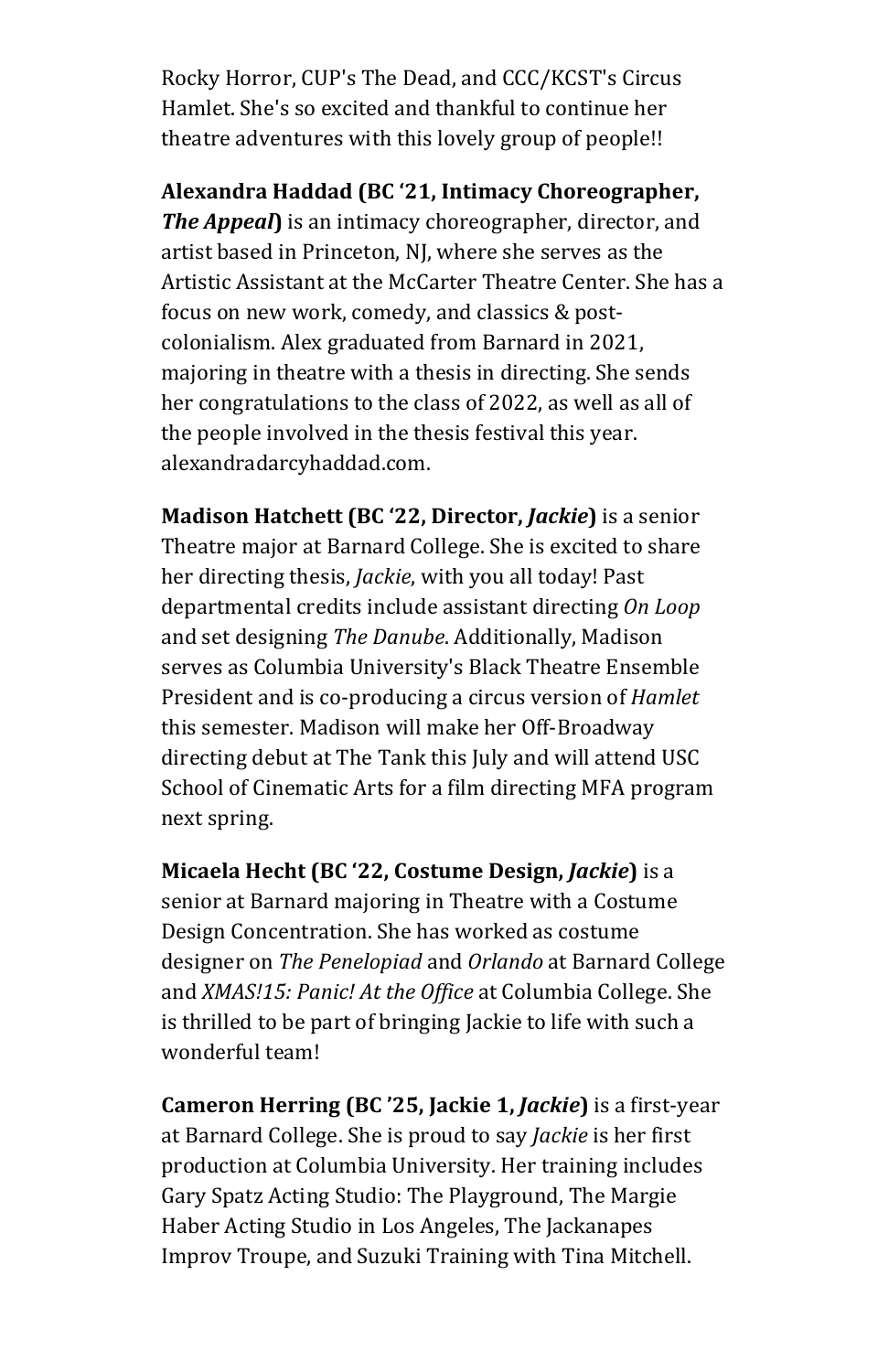Rocky Horror, CUP's The Dead, and CCC/KCST's Circus Hamlet. She's so excited and thankful to continue her theatre adventures with this lovely group of people!!

**Alexandra Haddad (BC '21, Intimacy Choreographer,** 

*The Appeal***)** is an intimacy choreographer, director, and artist based in Princeton, NJ, where she serves as the Artistic Assistant at the McCarter Theatre Center. She has a focus on new work, comedy, and classics & postcolonialism. Alex graduated from Barnard in 2021, majoring in theatre with a thesis in directing. She sends her congratulations to the class of 2022, as well as all of the people involved in the thesis festival this year. alexandradarcyhaddad.com.

**Madison Hatchett (BC '22, Director,** *Jackie***)** is a senior Theatre major at Barnard College. She is excited to share her directing thesis, *Jackie*, with you all today! Past departmental credits include assistant directing *On Loop* and set designing *The Danube*. Additionally, Madison serves as Columbia University's Black Theatre Ensemble President and is co-producing a circus version of *Hamlet* this semester. Madison will make her Off-Broadway directing debut at The Tank this July and will attend USC School of Cinematic Arts for a film directing MFA program next spring.

**Micaela Hecht (BC '22, Costume Design,** *Jackie***)** is a senior at Barnard majoring in Theatre with a Costume Design Concentration. She has worked as costume designer on *The Penelopiad* and *Orlando* at Barnard College and *XMAS!15: Panic! At the Office* at Columbia College. She is thrilled to be part of bringing Jackie to life with such a wonderful team!

**Cameron Herring (BC '25, Jackie 1,** *Jackie***)** is a first-year at Barnard College. She is proud to say *Jackie* is her first production at Columbia University. Her training includes Gary Spatz Acting Studio: The Playground, The Margie Haber Acting Studio in Los Angeles, The Jackanapes Improv Troupe, and Suzuki Training with Tina Mitchell.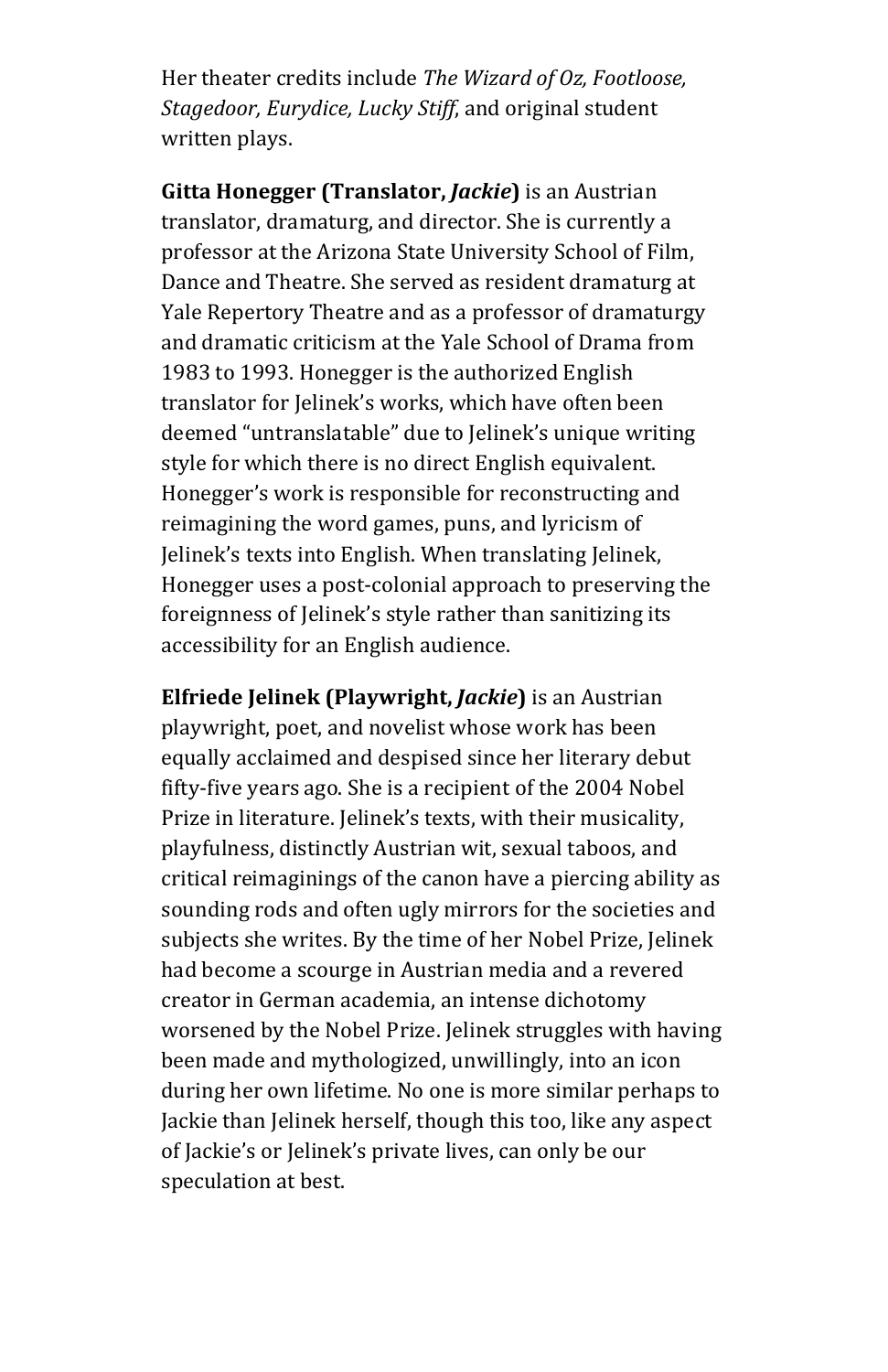Her theater credits include *The Wizard of Oz, Footloose, Stagedoor, Eurydice, Lucky Stiff*, and original student written plays.

**Gitta Honegger (Translator,** *Jackie***)** is an Austrian translator, dramaturg, and director. She is currently a professor at the Arizona State University School of Film, Dance and Theatre. She served as resident dramaturg at Yale Repertory Theatre and as a professor of dramaturgy and dramatic criticism at the Yale School of Drama from 1983 to 1993. Honegger is the authorized English translator for Jelinek's works, which have often been deemed "untranslatable" due to Jelinek's unique writing style for which there is no direct English equivalent. Honegger's work is responsible for reconstructing and reimagining the word games, puns, and lyricism of Jelinek's texts into English. When translating Jelinek, Honegger uses a post-colonial approach to preserving the foreignness of Jelinek's style rather than sanitizing its accessibility for an English audience.

**Elfriede Jelinek (Playwright,** *Jackie***)** is an Austrian playwright, poet, and novelist whose work has been equally acclaimed and despised since her literary debut fifty-five years ago. She is a recipient of the 2004 Nobel Prize in literature. Jelinek's texts, with their musicality, playfulness, distinctly Austrian wit, sexual taboos, and critical reimaginings of the canon have a piercing ability as sounding rods and often ugly mirrors for the societies and subjects she writes. By the time of her Nobel Prize, Jelinek had become a scourge in Austrian media and a revered creator in German academia, an intense dichotomy worsened by the Nobel Prize. Jelinek struggles with having been made and mythologized, unwillingly, into an icon during her own lifetime. No one is more similar perhaps to Jackie than Jelinek herself, though this too, like any aspect of Jackie's or Jelinek's private lives, can only be our speculation at best.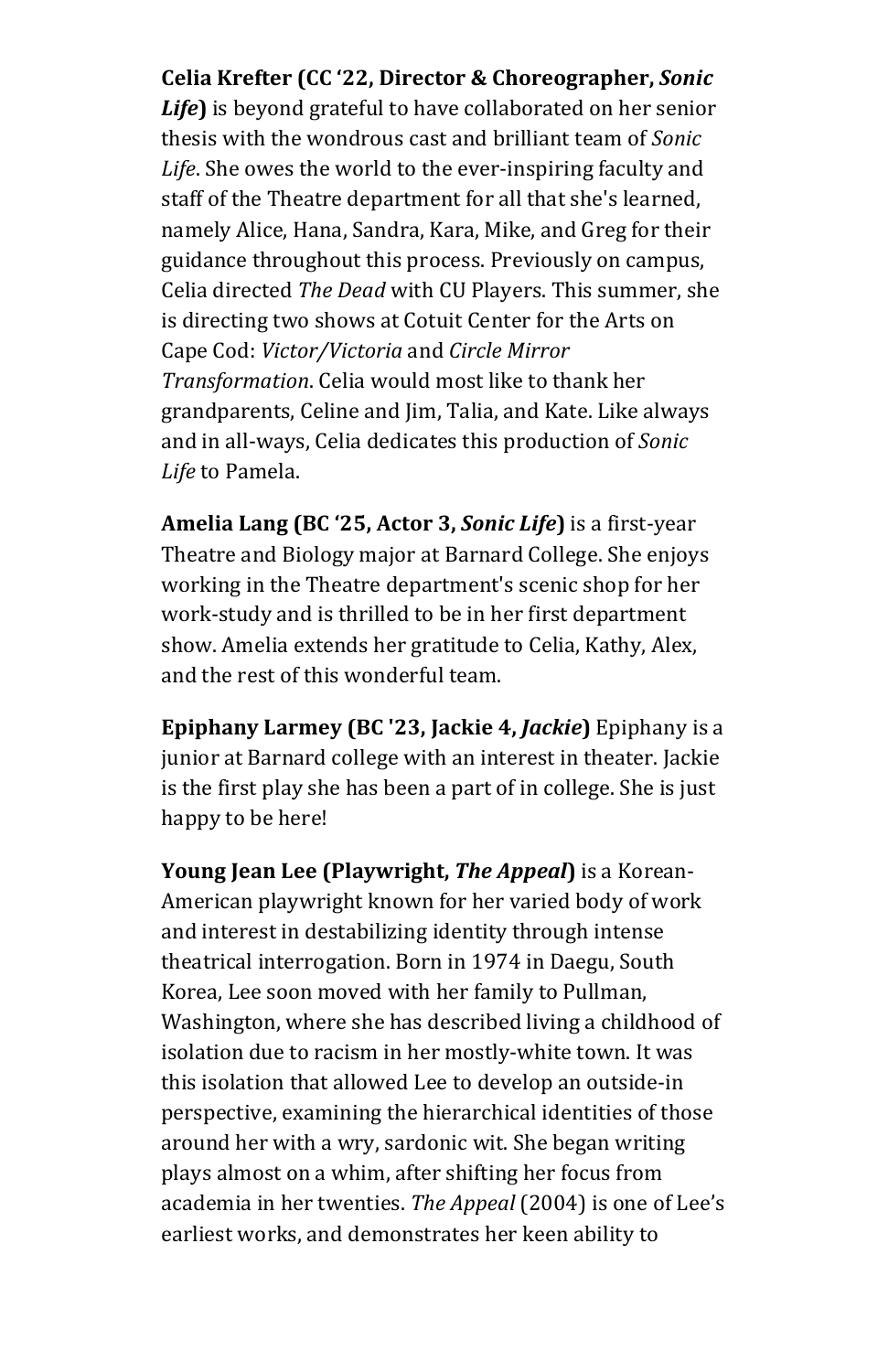**Celia Krefter (CC '22, Director & Choreographer,** *Sonic Life***)** is beyond grateful to have collaborated on her senior thesis with the wondrous cast and brilliant team of *Sonic Life*. She owes the world to the ever-inspiring faculty and staff of the Theatre department for all that she's learned, namely Alice, Hana, Sandra, Kara, Mike, and Greg for their guidance throughout this process. Previously on campus, Celia directed *The Dead* with CU Players. This summer, she is directing two shows at Cotuit Center for the Arts on Cape Cod: *Victor/Victoria* and *Circle Mirror Transformation*. Celia would most like to thank her grandparents, Celine and Jim, Talia, and Kate. Like always and in all-ways, Celia dedicates this production of *Sonic Life* to Pamela.

**Amelia Lang (BC '25, Actor 3,** *Sonic Life***)** is a first-year Theatre and Biology major at Barnard College. She enjoys working in the Theatre department's scenic shop for her work-study and is thrilled to be in her first department show. Amelia extends her gratitude to Celia, Kathy, Alex, and the rest of this wonderful team.

**Epiphany Larmey (BC '23, Jackie 4,** *Jackie***)** Epiphany is a junior at Barnard college with an interest in theater. Jackie is the first play she has been a part of in college. She is just happy to be here!

**Young Jean Lee (Playwright,** *The Appeal***)** is a Korean-American playwright known for her varied body of work and interest in destabilizing identity through intense theatrical interrogation. Born in 1974 in Daegu, South Korea, Lee soon moved with her family to Pullman, Washington, where she has described living a childhood of isolation due to racism in her mostly-white town. It was this isolation that allowed Lee to develop an outside-in perspective, examining the hierarchical identities of those around her with a wry, sardonic wit. She began writing plays almost on a whim, after shifting her focus from academia in her twenties. *The Appeal* (2004) is one of Lee's earliest works, and demonstrates her keen ability to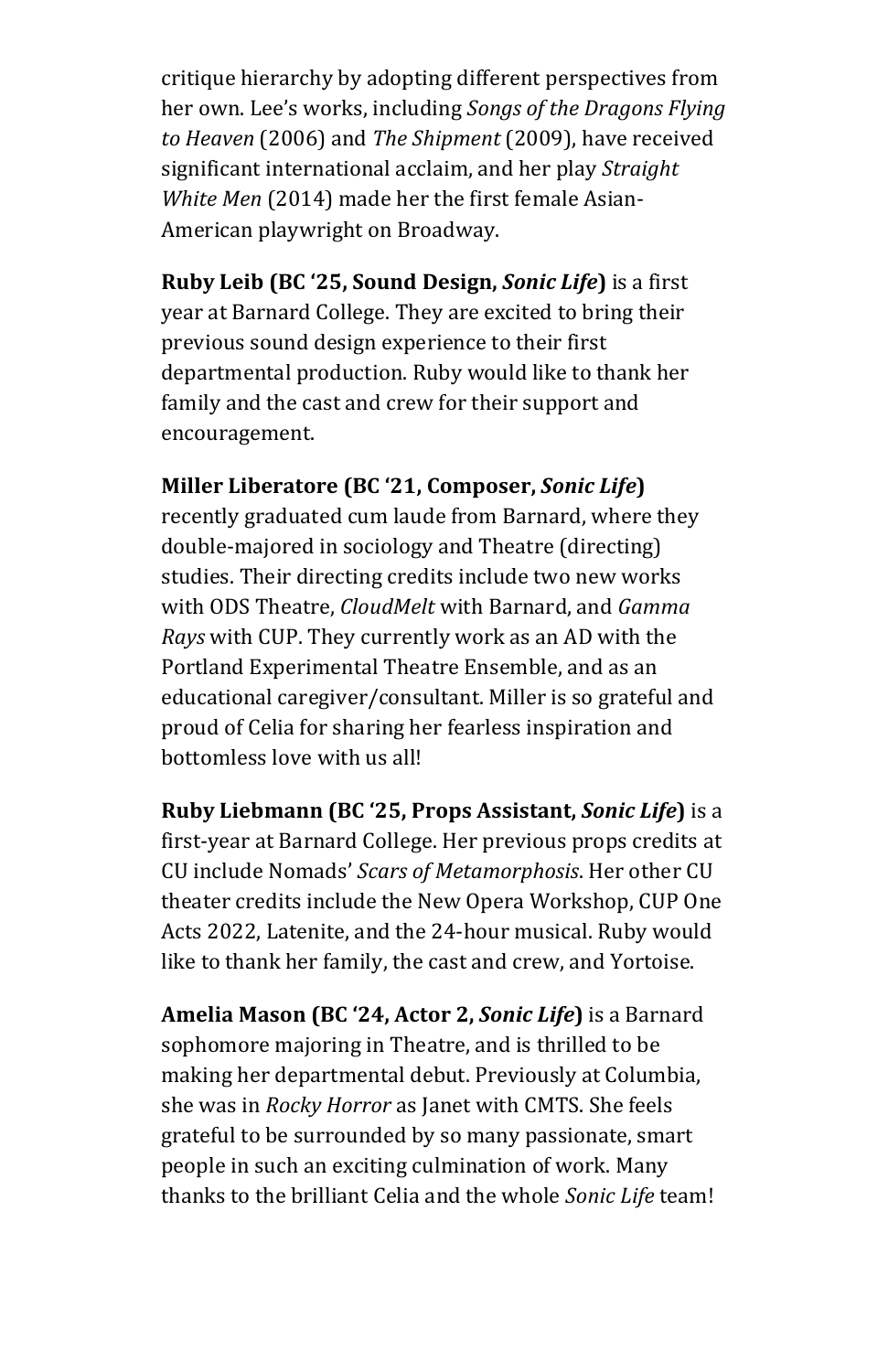critique hierarchy by adopting different perspectives from her own. Lee's works, including *Songs of the Dragons Flying to Heaven* (2006) and *The Shipment* (2009), have received significant international acclaim, and her play *Straight White Men* (2014) made her the first female Asian-American playwright on Broadway.

**Ruby Leib (BC '25, Sound Design,** *Sonic Life***)** is a first year at Barnard College. They are excited to bring their previous sound design experience to their first departmental production. Ruby would like to thank her family and the cast and crew for their support and encouragement.

**Miller Liberatore (BC '21, Composer,** *Sonic Life***)** recently graduated cum laude from Barnard, where they double-majored in sociology and Theatre (directing) studies. Their directing credits include two new works with ODS Theatre, *CloudMelt* with Barnard, and *Gamma Rays* with CUP. They currently work as an AD with the Portland Experimental Theatre Ensemble, and as an educational caregiver/consultant. Miller is so grateful and proud of Celia for sharing her fearless inspiration and bottomless love with us all!

**Ruby Liebmann (BC '25, Props Assistant,** *Sonic Life***)** is a first-year at Barnard College. Her previous props credits at CU include Nomads' *Scars of Metamorphosis*. Her other CU theater credits include the New Opera Workshop, CUP One Acts 2022, Latenite, and the 24-hour musical. Ruby would like to thank her family, the cast and crew, and Yortoise.

**Amelia Mason (BC '24, Actor 2,** *Sonic Life***)** is a Barnard sophomore majoring in Theatre, and is thrilled to be making her departmental debut. Previously at Columbia, she was in *Rocky Horror* as Janet with CMTS. She feels grateful to be surrounded by so many passionate, smart people in such an exciting culmination of work. Many thanks to the brilliant Celia and the whole *Sonic Life* team!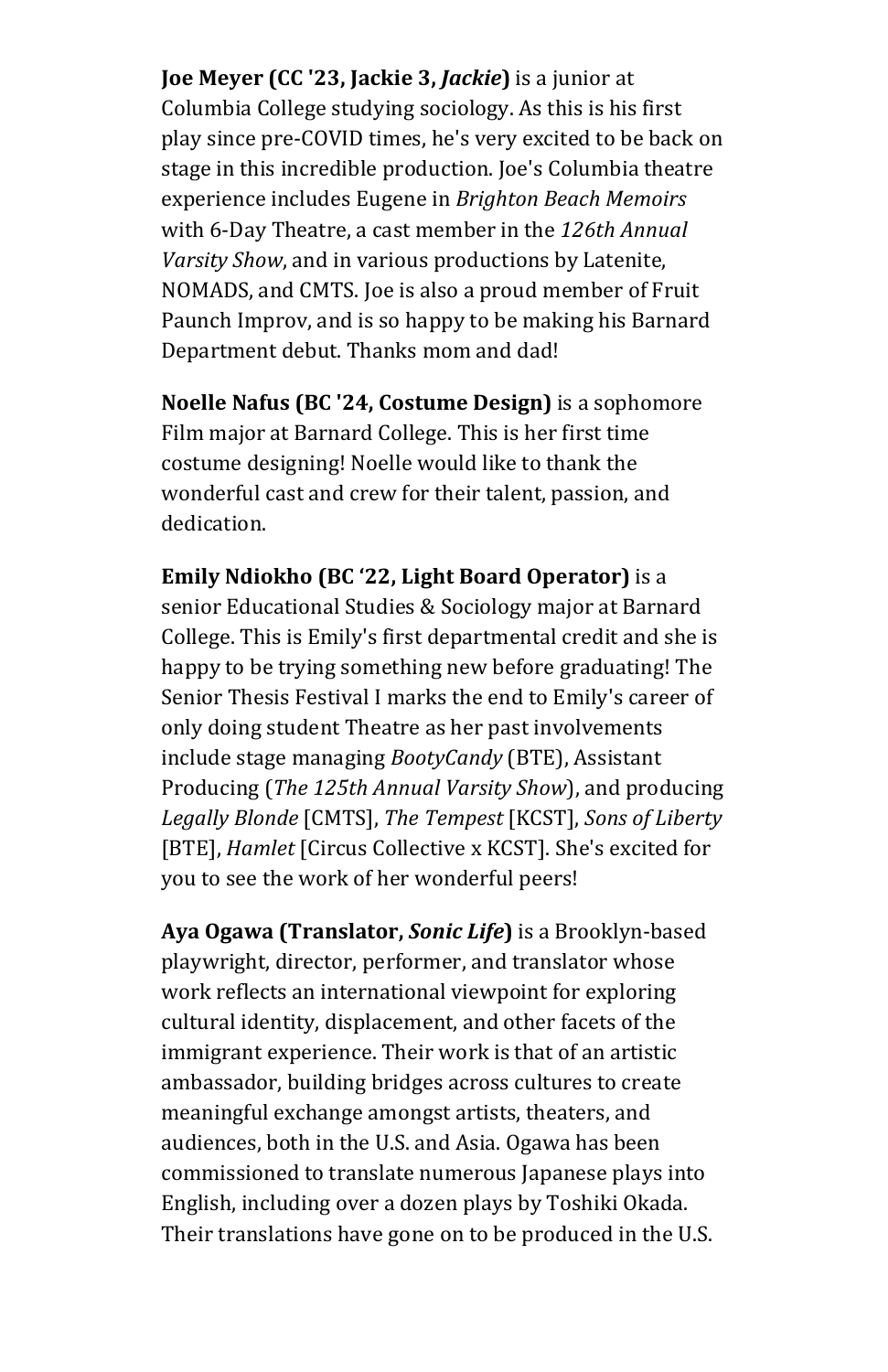**Joe Meyer (CC '23, Jackie 3,** *Jackie***)** is a junior at Columbia College studying sociology. As this is his first play since pre-COVID times, he's very excited to be back on stage in this incredible production. Joe's Columbia theatre experience includes Eugene in *Brighton Beach Memoirs* with 6-Day Theatre, a cast member in the *126th Annual Varsity Show*, and in various productions by Latenite, NOMADS, and CMTS. Joe is also a proud member of Fruit Paunch Improv, and is so happy to be making his Barnard Department debut. Thanks mom and dad!

**Noelle Nafus (BC '24, Costume Design)** is a sophomore Film major at Barnard College. This is her first time costume designing! Noelle would like to thank the wonderful cast and crew for their talent, passion, and dedication.

**Emily Ndiokho (BC '22, Light Board Operator)** is a senior Educational Studies & Sociology major at Barnard College. This is Emily's first departmental credit and she is happy to be trying something new before graduating! The Senior Thesis Festival I marks the end to Emily's career of only doing student Theatre as her past involvements include stage managing *BootyCandy* (BTE), Assistant Producing (*The 125th Annual Varsity Show*), and producing *Legally Blonde* [CMTS], *The Tempest* [KCST], *Sons of Liberty* [BTE], *Hamlet* [Circus Collective x KCST]. She's excited for you to see the work of her wonderful peers!

**Aya Ogawa (Translator,** *Sonic Life***)** is a Brooklyn-based playwright, director, performer, and translator whose work reflects an international viewpoint for exploring cultural identity, displacement, and other facets of the immigrant experience. Their work is that of an artistic ambassador, building bridges across cultures to create meaningful exchange amongst artists, theaters, and audiences, both in the U.S. and Asia. Ogawa has been commissioned to translate numerous Japanese plays into English, including over a dozen plays by Toshiki Okada. Their translations have gone on to be produced in the U.S.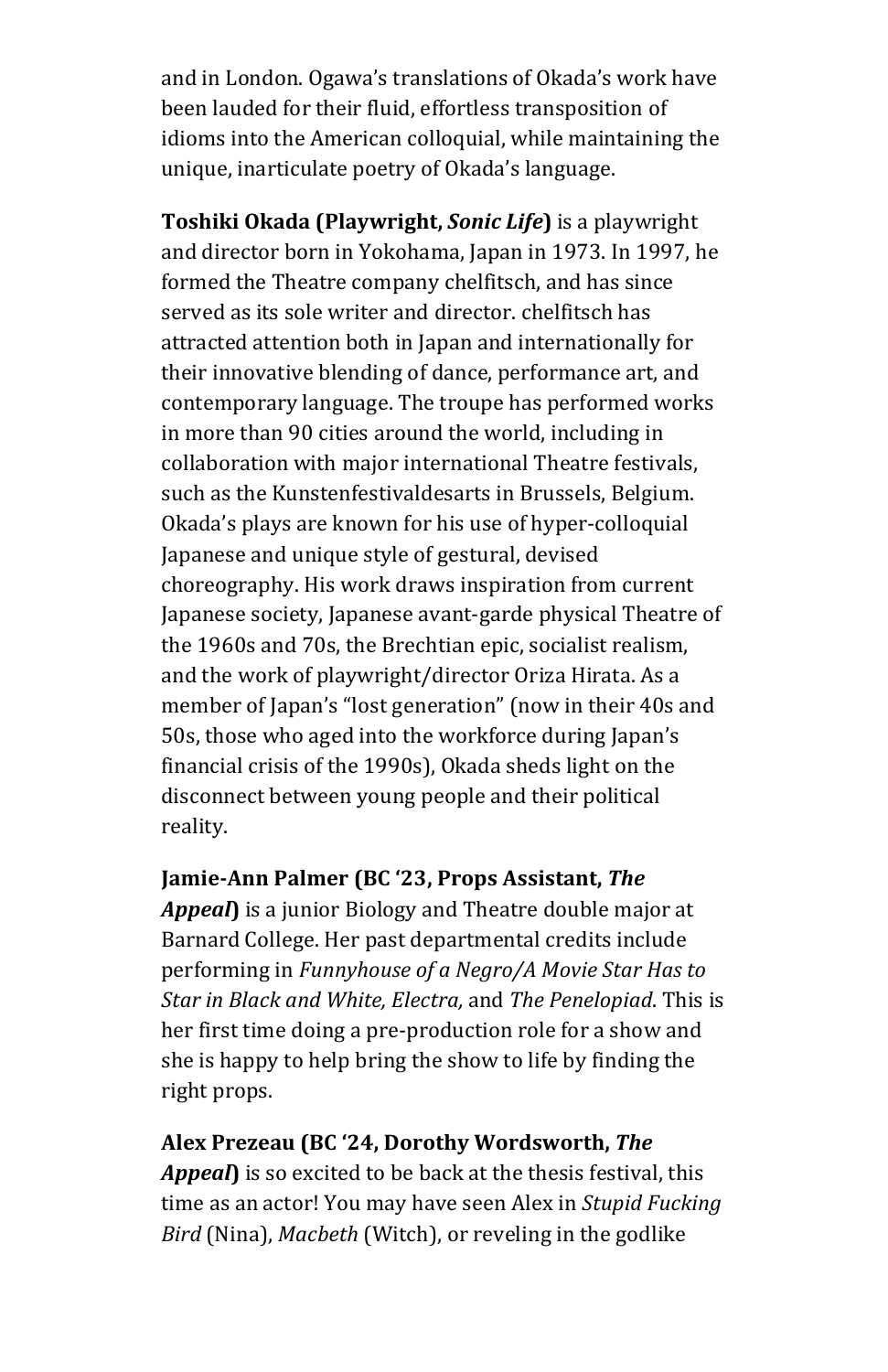and in London. Ogawa's translations of Okada's work have been lauded for their fluid, effortless transposition of idioms into the American colloquial, while maintaining the unique, inarticulate poetry of Okada's language.

**Toshiki Okada (Playwright,** *Sonic Life***)** is a playwright and director born in Yokohama, Japan in 1973. In 1997, he formed the Theatre company chelfitsch, and has since served as its sole writer and director. chelfitsch has attracted attention both in Japan and internationally for their innovative blending of dance, performance art, and contemporary language. The troupe has performed works in more than 90 cities around the world, including in collaboration with major international Theatre festivals, such as the Kunstenfestivaldesarts in Brussels, Belgium. Okada's plays are known for his use of hyper-colloquial Japanese and unique style of gestural, devised choreography. His work draws inspiration from current Japanese society, Japanese avant-garde physical Theatre of the 1960s and 70s, the Brechtian epic, socialist realism, and the work of playwright/director Oriza Hirata. As a member of Japan's "lost generation" (now in their 40s and 50s, those who aged into the workforce during Japan's financial crisis of the 1990s), Okada sheds light on the disconnect between young people and their political reality.

#### **Jamie-Ann Palmer (BC '23, Props Assistant,** *The*

*Appeal***)** is a junior Biology and Theatre double major at Barnard College. Her past departmental credits include performing in *Funnyhouse of a Negro/A Movie Star Has to Star in Black and White, Electra,* and *The Penelopiad*. This is her first time doing a pre-production role for a show and she is happy to help bring the show to life by finding the right props.

**Alex Prezeau (BC '24, Dorothy Wordsworth,** *The Appeal***)** is so excited to be back at the thesis festival, this time as an actor! You may have seen Alex in *Stupid Fucking Bird* (Nina), *Macbeth* (Witch), or reveling in the godlike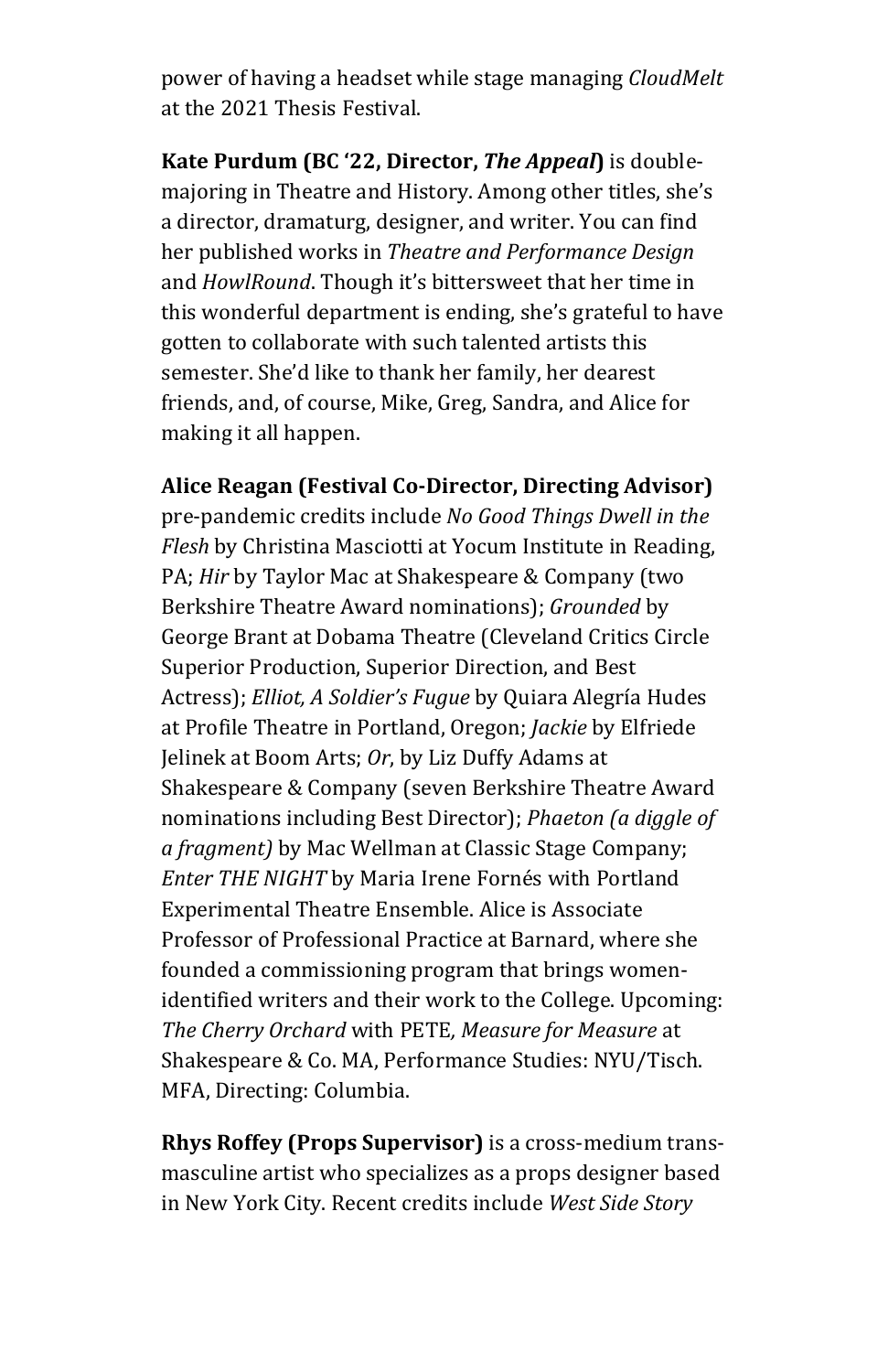power of having a headset while stage managing *CloudMelt* at the 2021 Thesis Festival.

**Kate Purdum (BC '22, Director,** *The Appeal***)** is doublemajoring in Theatre and History. Among other titles, she's a director, dramaturg, designer, and writer. You can find her published works in *Theatre and Performance Design* and *HowlRound*. Though it's bittersweet that her time in this wonderful department is ending, she's grateful to have gotten to collaborate with such talented artists this semester. She'd like to thank her family, her dearest friends, and, of course, Mike, Greg, Sandra, and Alice for making it all happen.

**Alice Reagan (Festival Co-Director, Directing Advisor)** pre-pandemic credits include *No Good Things Dwell in the Flesh* by Christina Masciotti at Yocum Institute in Reading, PA; *Hir* by Taylor Mac at Shakespeare & Company (two Berkshire Theatre Award nominations); *Grounded* by George Brant at Dobama Theatre (Cleveland Critics Circle Superior Production, Superior Direction, and Best Actress); *Elliot, A Soldier's Fugue* by Quiara Alegría Hudes at Profile Theatre in Portland, Oregon; *Jackie* by Elfriede Jelinek at Boom Arts; *Or*, by Liz Duffy Adams at Shakespeare & Company (seven Berkshire Theatre Award nominations including Best Director); *Phaeton (a diggle of a fragment)* by Mac Wellman at Classic Stage Company; *Enter THE NIGHT* by Maria Irene Fornés with Portland Experimental Theatre Ensemble. Alice is Associate Professor of Professional Practice at Barnard, where she founded a commissioning program that brings womenidentified writers and their work to the College. Upcoming: *The Cherry Orchard* with PETE*, Measure for Measure* at Shakespeare & Co. MA, Performance Studies: NYU/Tisch. MFA, Directing: Columbia.

**Rhys Roffey (Props Supervisor)** is a cross-medium transmasculine artist who specializes as a props designer based in New York City. Recent credits include *West Side Story*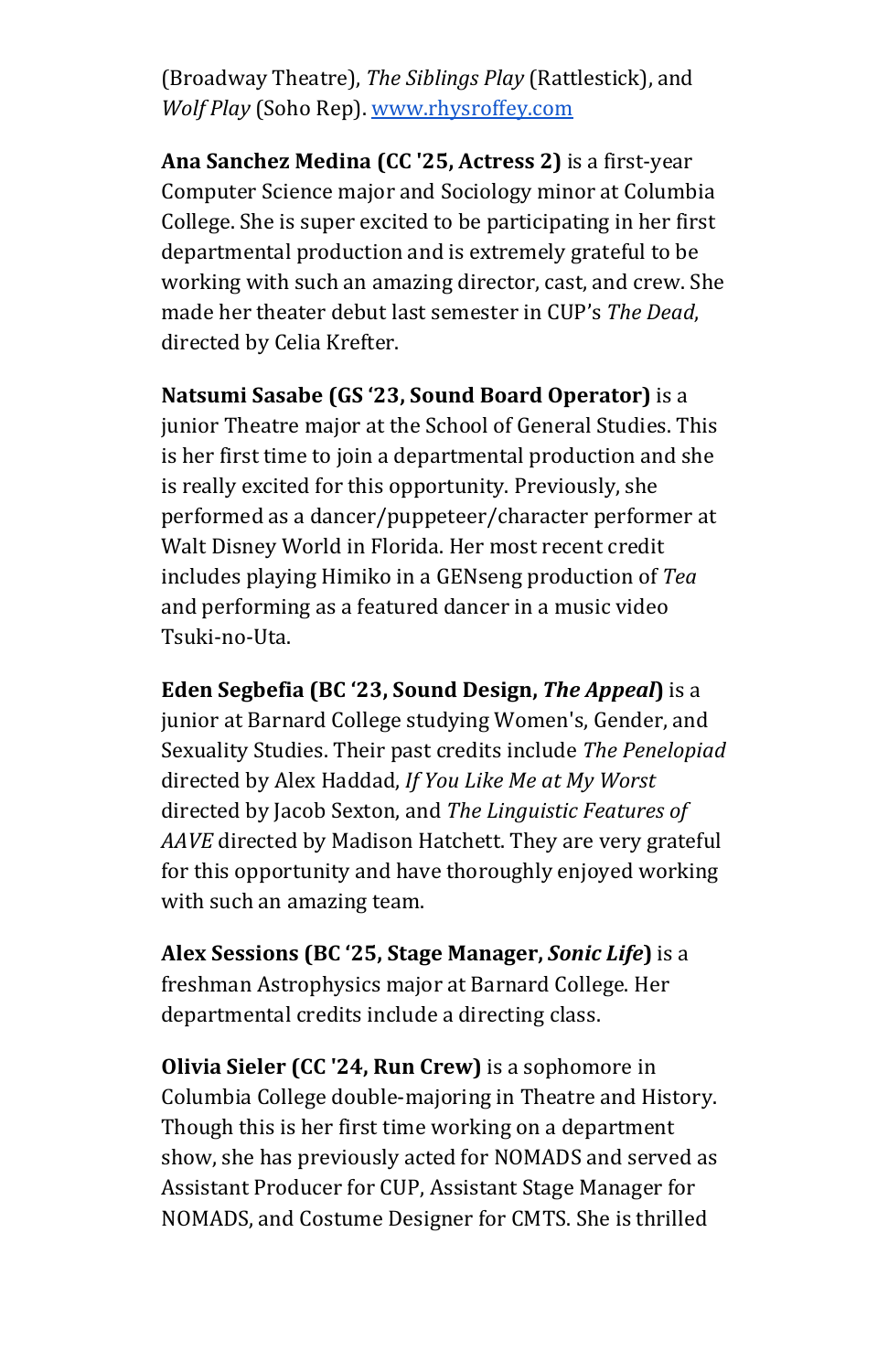(Broadway Theatre), *The Siblings Play* (Rattlestick), and *Wolf Play* (Soho Rep). [www.rhysroffey.com](http://www.rhysroffey.com/)

**Ana Sanchez Medina (CC '25, Actress 2)** is a first-year Computer Science major and Sociology minor at Columbia College. She is super excited to be participating in her first departmental production and is extremely grateful to be working with such an amazing director, cast, and crew. She made her theater debut last semester in CUP's *The Dead*, directed by Celia Krefter.

**Natsumi Sasabe (GS '23, Sound Board Operator)** is a junior Theatre major at the School of General Studies. This is her first time to join a departmental production and she is really excited for this opportunity. Previously, she performed as a dancer/puppeteer/character performer at Walt Disney World in Florida. Her most recent credit includes playing Himiko in a GENseng production of *Tea*  and performing as a featured dancer in a music video Tsuki-no-Uta.

**Eden Segbefia (BC '23, Sound Design,** *The Appeal***)** is a junior at Barnard College studying Women's, Gender, and Sexuality Studies. Their past credits include *The Penelopiad* directed by Alex Haddad, *If You Like Me at My Worst* directed by Jacob Sexton, and *The Linguistic Features of AAVE* directed by Madison Hatchett. They are very grateful for this opportunity and have thoroughly enjoyed working with such an amazing team.

**Alex Sessions (BC '25, Stage Manager,** *Sonic Life***)** is a freshman Astrophysics major at Barnard College. Her departmental credits include a directing class.

**Olivia Sieler (CC '24, Run Crew)** is a sophomore in Columbia College double-majoring in Theatre and History. Though this is her first time working on a department show, she has previously acted for NOMADS and served as Assistant Producer for CUP, Assistant Stage Manager for NOMADS, and Costume Designer for CMTS. She is thrilled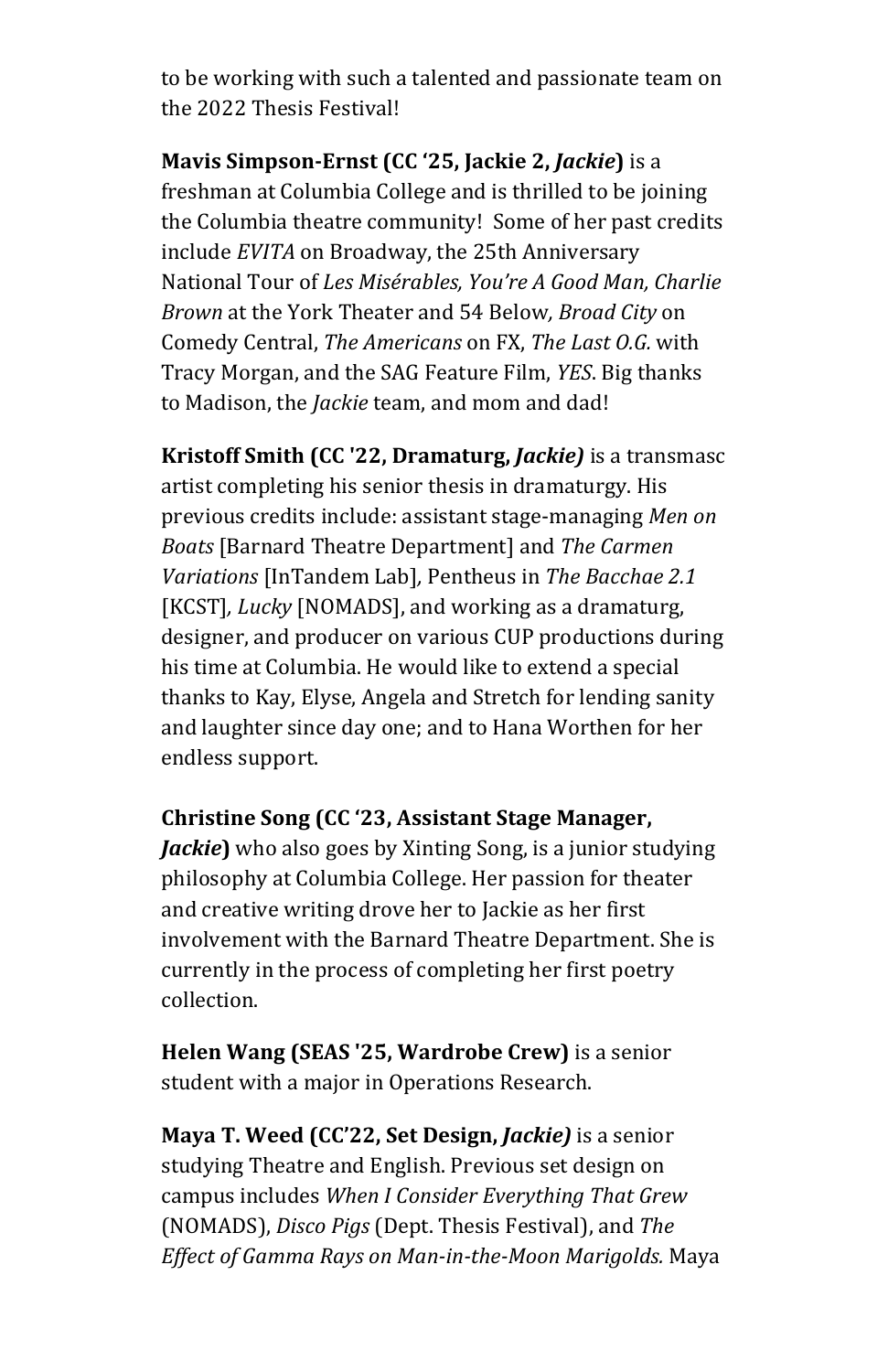to be working with such a talented and passionate team on the 2022 Thesis Festival!

**Mavis Simpson-Ernst (CC '25, Jackie 2,** *Jackie***)** is a freshman at Columbia College and is thrilled to be joining the Columbia theatre community! Some of her past credits include *EVITA* on Broadway, the 25th Anniversary National Tour of *Les Misérables, You're A Good Man, Charlie Brown* at the York Theater and 54 Below*, Broad City* on Comedy Central, *The Americans* on FX, *The Last O.G.* with Tracy Morgan, and the SAG Feature Film, *YES*. Big thanks to Madison, the *Jackie* team, and mom and dad!

**Kristoff Smith (CC '22, Dramaturg,** *Jackie)* is a transmasc artist completing his senior thesis in dramaturgy. His previous credits include: assistant stage-managing *Men on Boats* [Barnard Theatre Department] and *The Carmen Variations* [InTandem Lab]*,* Pentheus in *The Bacchae 2.1*  [KCST]*, Lucky* [NOMADS], and working as a dramaturg, designer, and producer on various CUP productions during his time at Columbia. He would like to extend a special thanks to Kay, Elyse, Angela and Stretch for lending sanity and laughter since day one; and to Hana Worthen for her endless support.

**Christine Song (CC '23, Assistant Stage Manager,**  *Jackie***)** who also goes by Xinting Song, is a junior studying philosophy at Columbia College. Her passion for theater and creative writing drove her to Jackie as her first involvement with the Barnard Theatre Department. She is currently in the process of completing her first poetry

**Helen Wang (SEAS '25, Wardrobe Crew)** is a senior student with a major in Operations Research.

collection.

**Maya T. Weed (CC'22, Set Design,** *Jackie)* is a senior studying Theatre and English. Previous set design on campus includes *When I Consider Everything That Grew*  (NOMADS), *Disco Pigs* (Dept. Thesis Festival), and *The Effect of Gamma Rays on Man-in-the-Moon Marigolds.* Maya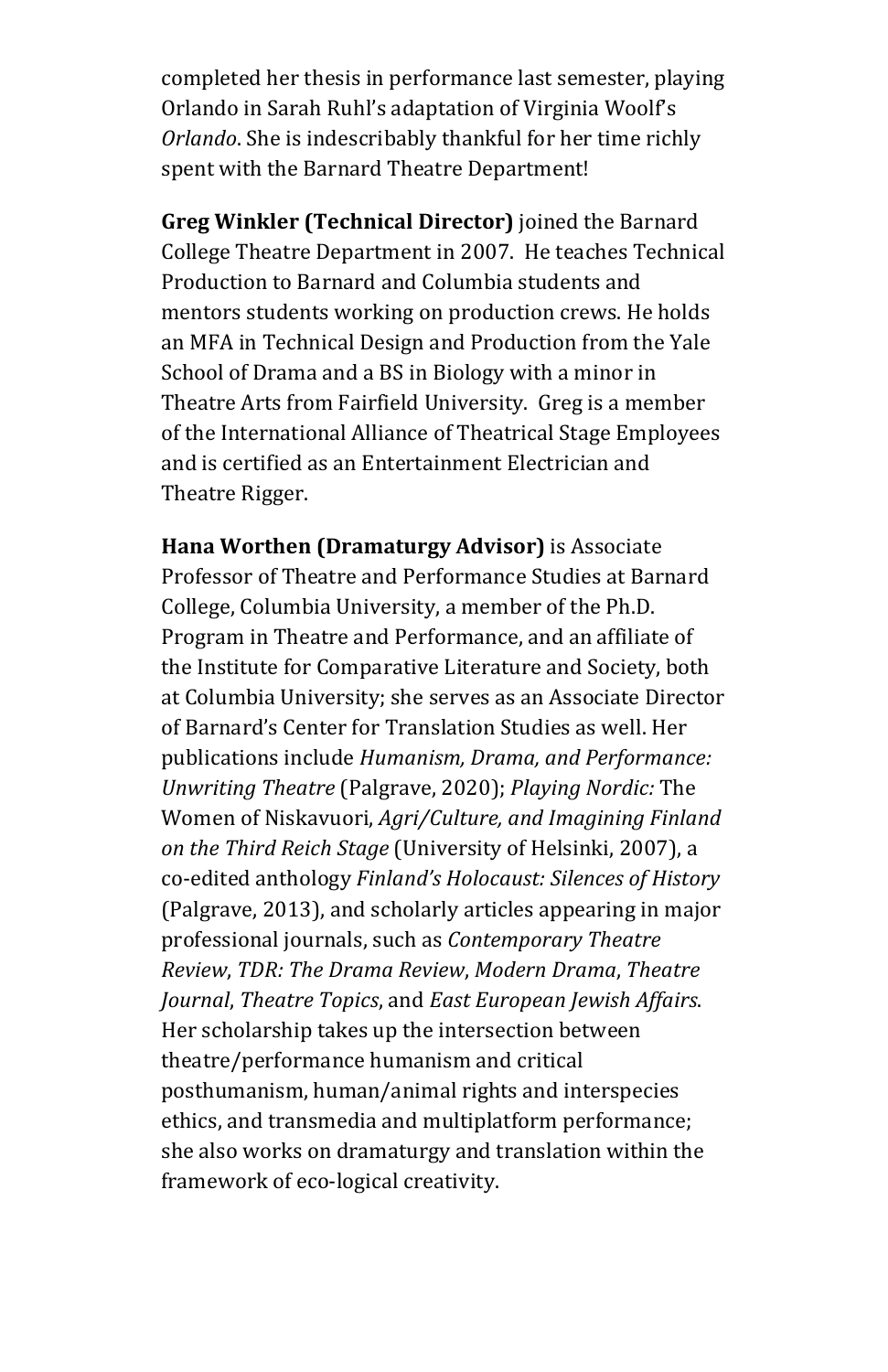completed her thesis in performance last semester, playing Orlando in Sarah Ruhl's adaptation of Virginia Woolf's *Orlando*. She is indescribably thankful for her time richly spent with the Barnard Theatre Department!

**Greg Winkler (Technical Director)** joined the Barnard College Theatre Department in 2007. He teaches Technical Production to Barnard and Columbia students and mentors students working on production crews. He holds an MFA in Technical Design and Production from the Yale School of Drama and a BS in Biology with a minor in Theatre Arts from Fairfield University. Greg is a member of the International Alliance of Theatrical Stage Employees and is certified as an Entertainment Electrician and Theatre Rigger.

**Hana Worthen (Dramaturgy Advisor)** is Associate Professor of Theatre and Performance Studies at Barnard College, Columbia University, a member of the Ph.D. Program in Theatre and Performance, and an affiliate of the Institute for Comparative Literature and Society, both at Columbia University; she serves as an Associate Director of Barnard's Center for Translation Studies as well. Her publications include *Humanism, Drama, and Performance: Unwriting Theatre* (Palgrave, 2020); *Playing Nordic:* The Women of Niskavuori, *Agri/Culture, and Imagining Finland on the Third Reich Stage* (University of Helsinki, 2007), a co-edited anthology *Finland's Holocaust: Silences of History* (Palgrave, 2013), and scholarly articles appearing in major professional journals, such as *Contemporary Theatre Review*, *TDR: The Drama Review*, *Modern Drama*, *Theatre Journal*, *Theatre Topics*, and *East European Jewish Affairs*. Her scholarship takes up the intersection between theatre/performance humanism and critical posthumanism, human/animal rights and interspecies ethics, and transmedia and multiplatform performance; she also works on dramaturgy and translation within the framework of eco-logical creativity.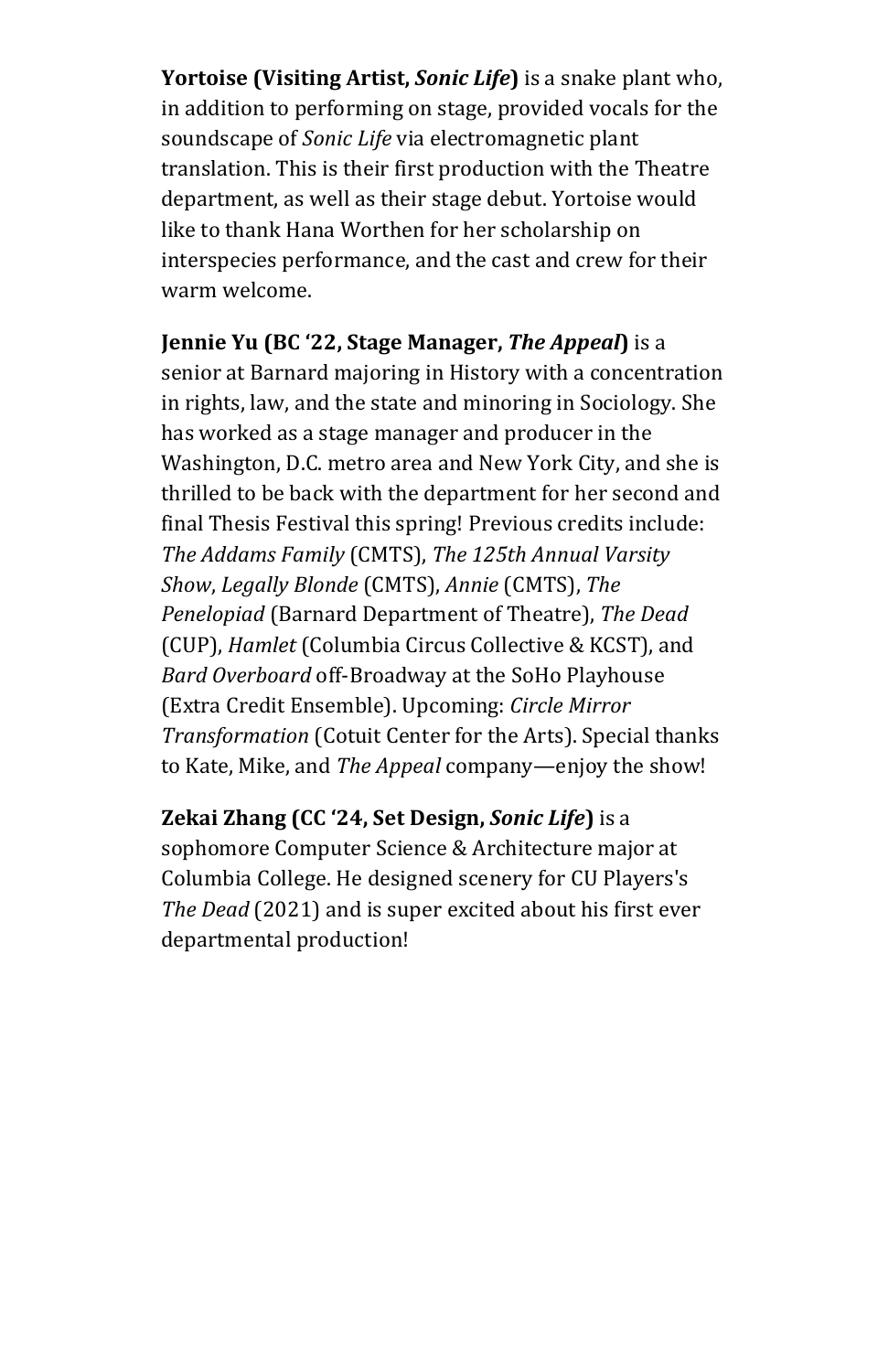**Yortoise (Visiting Artist,** *Sonic Life***)** is a snake plant who, in addition to performing on stage, provided vocals for the soundscape of *Sonic Life* via electromagnetic plant translation. This is their first production with the Theatre department, as well as their stage debut. Yortoise would like to thank Hana Worthen for her scholarship on interspecies performance, and the cast and crew for their warm welcome.

**Jennie Yu (BC '22, Stage Manager,** *The Appeal***)** is a senior at Barnard majoring in History with a concentration in rights, law, and the state and minoring in Sociology. She has worked as a stage manager and producer in the Washington, D.C. metro area and New York City, and she is thrilled to be back with the department for her second and final Thesis Festival this spring! Previous credits include: *The Addams Family* (CMTS), *The 125th Annual Varsity Show*, *Legally Blonde* (CMTS), *Annie* (CMTS), *The Penelopiad* (Barnard Department of Theatre), *The Dead* (CUP), *Hamlet* (Columbia Circus Collective & KCST), and *Bard Overboard* off-Broadway at the SoHo Playhouse (Extra Credit Ensemble). Upcoming: *Circle Mirror Transformation* (Cotuit Center for the Arts). Special thanks to Kate, Mike, and *The Appeal* company—enjoy the show!

**Zekai Zhang (CC '24, Set Design,** *Sonic Life***)** is a sophomore Computer Science & Architecture major at Columbia College. He designed scenery for CU Players's *The Dead* (2021) and is super excited about his first ever departmental production!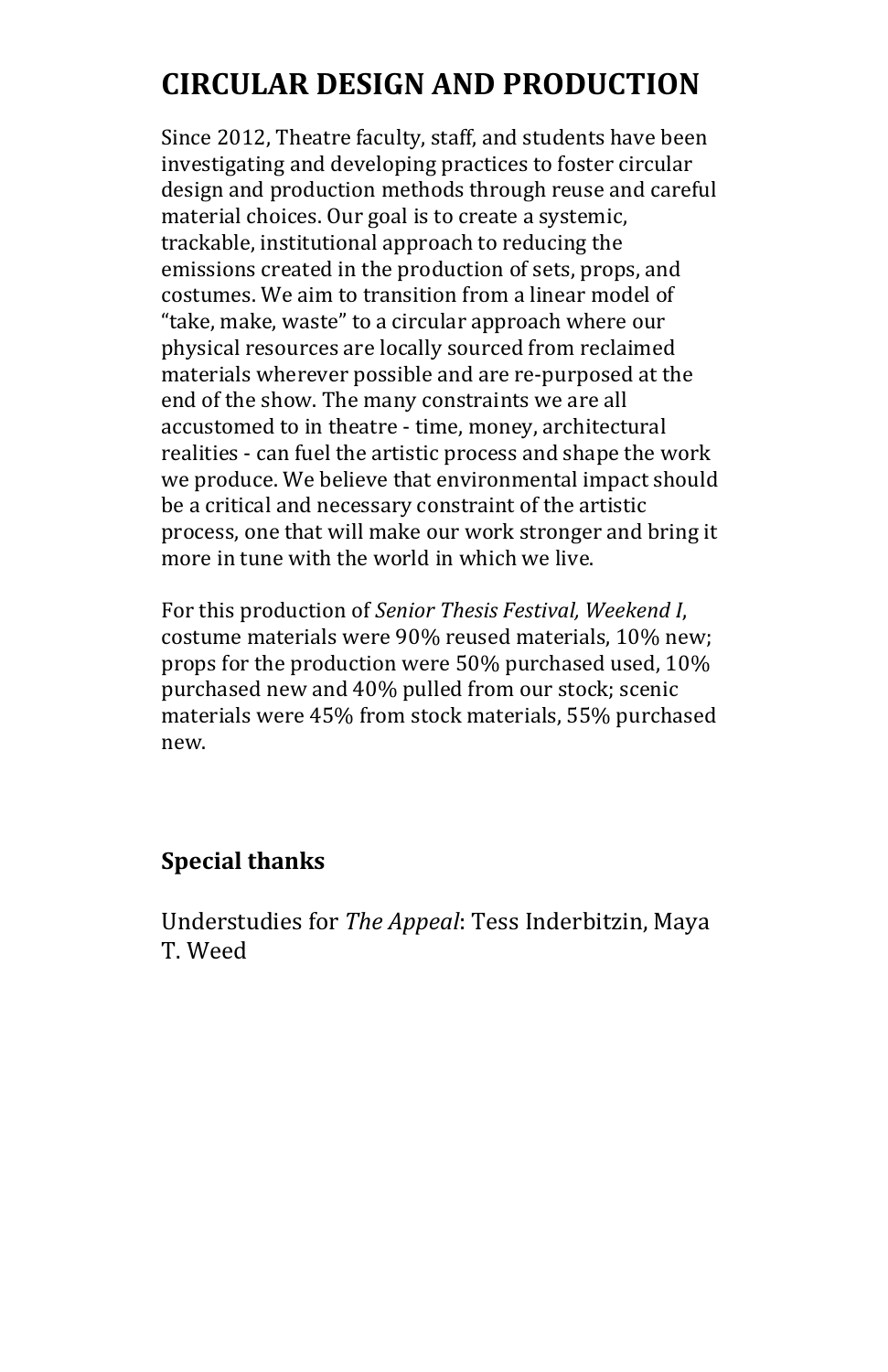# **CIRCULAR DESIGN AND PRODUCTION**

Since 2012, Theatre faculty, staff, and students have been investigating and developing practices to foster circular design and production methods through reuse and careful material choices. Our goal is to create a systemic, trackable, institutional approach to reducing the emissions created in the production of sets, props, and costumes. We aim to transition from a linear model of "take, make, waste" to a circular approach where our physical resources are locally sourced from reclaimed materials wherever possible and are re-purposed at the end of the show. The many constraints we are all accustomed to in theatre - time, money, architectural realities - can fuel the artistic process and shape the work we produce. We believe that environmental impact should be a critical and necessary constraint of the artistic process, one that will make our work stronger and bring it more in tune with the world in which we live.

For this production of *Senior Thesis Festival, Weekend I*, costume materials were 90% reused materials, 10% new; props for the production were 50% purchased used, 10% purchased new and 40% pulled from our stock; scenic materials were 45% from stock materials, 55% purchased new.

#### **Special thanks**

Understudies for *The Appeal*: Tess Inderbitzin, Maya T. Weed